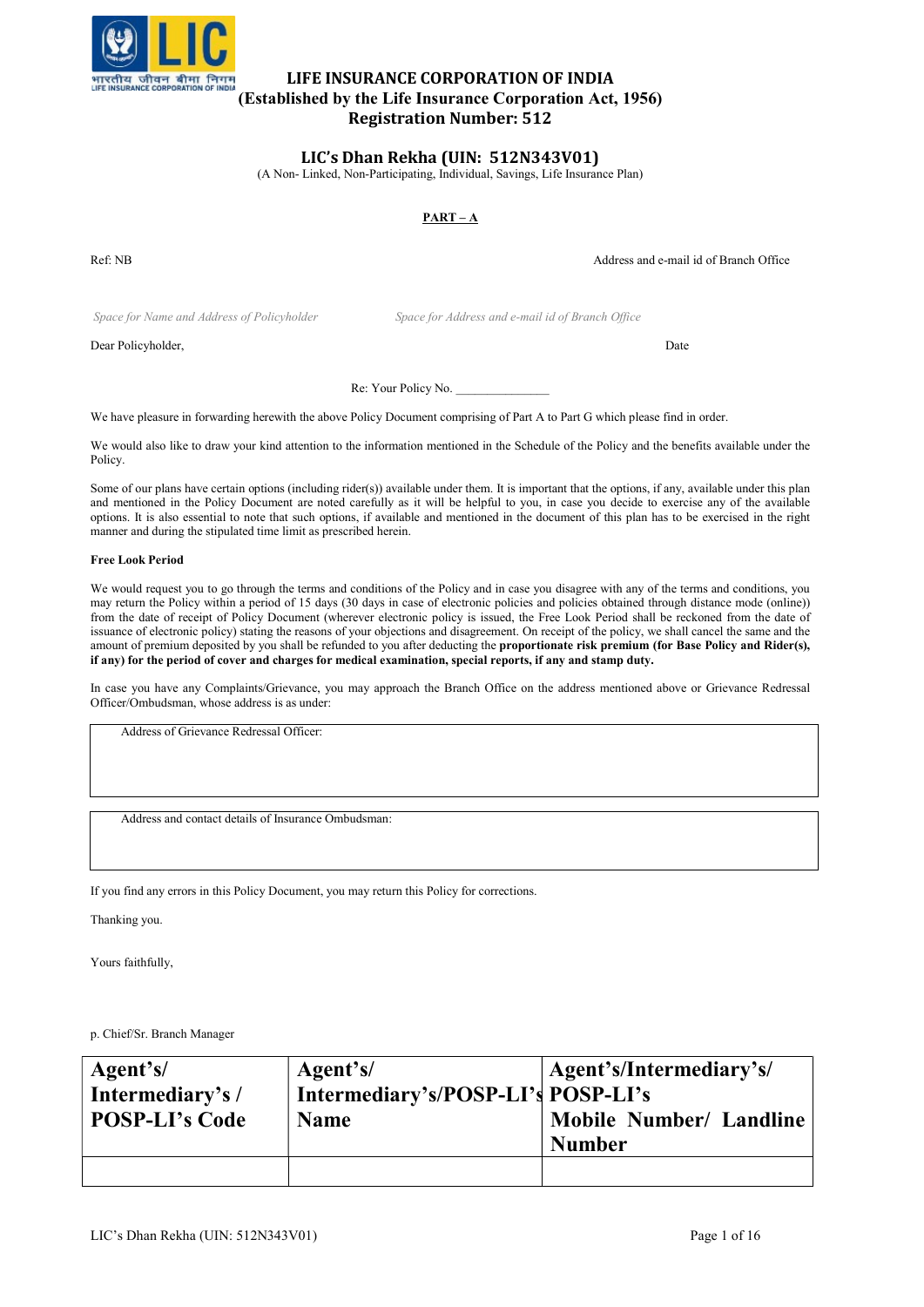

# LIFE INSURANCE CORPORATION OF INDIA (Established by the Life Insurance Corporation Act, 1956) Registration Number: 512

# LIC's Dhan Rekha (UIN: 512N343V01)

(A Non- Linked, Non-Participating, Individual, Savings, Life Insurance Plan)

# $PART - A$

Ref: NB Address and e-mail id of Branch Office

Space for Name and Address of Policyholder Space for Address and e-mail id of Branch Office

Dear Policyholder, Date

Re: Your Policy No.

We have pleasure in forwarding herewith the above Policy Document comprising of Part A to Part G which please find in order.

We would also like to draw your kind attention to the information mentioned in the Schedule of the Policy and the benefits available under the Policy.

Some of our plans have certain options (including rider(s)) available under them. It is important that the options, if any, available under this plan and mentioned in the Policy Document are noted carefully as it will be helpful to you, in case you decide to exercise any of the available options. It is also essential to note that such options, if available and mentioned in the document of this plan has to be exercised in the right manner and during the stipulated time limit as prescribed herein.

# Free Look Period

We would request you to go through the terms and conditions of the Policy and in case you disagree with any of the terms and conditions, you may return the Policy within a period of 15 days (30 days in case of electronic policies and policies obtained through distance mode (online)) from the date of receipt of Policy Document (wherever electronic policy is issued, the Free Look Period shall be reckoned from the date of issuance of electronic policy) stating the reasons of your objections and disagreement. On receipt of the policy, we shall cancel the same and the amount of premium deposited by you shall be refunded to you after deducting the proportionate risk premium (for Base Policy and Rider(s), if any) for the period of cover and charges for medical examination, special reports, if any and stamp duty.

In case you have any Complaints/Grievance, you may approach the Branch Office on the address mentioned above or Grievance Redressal Officer/Ombudsman, whose address is as under:

Address of Grievance Redressal Officer:

Address and contact details of Insurance Ombudsman:

If you find any errors in this Policy Document, you may return this Policy for corrections.

Thanking you.

Yours faithfully,

p. Chief/Sr. Branch Manager

| Agent's/              | Agent's/                           | Agent's/Intermediary's/        |
|-----------------------|------------------------------------|--------------------------------|
| Intermediary's/       | Intermediary's/POSP-LI's POSP-LI's | <b>Mobile Number/ Landline</b> |
| <b>POSP-LI's Code</b> | <b>Name</b>                        | <b>Number</b>                  |
|                       |                                    |                                |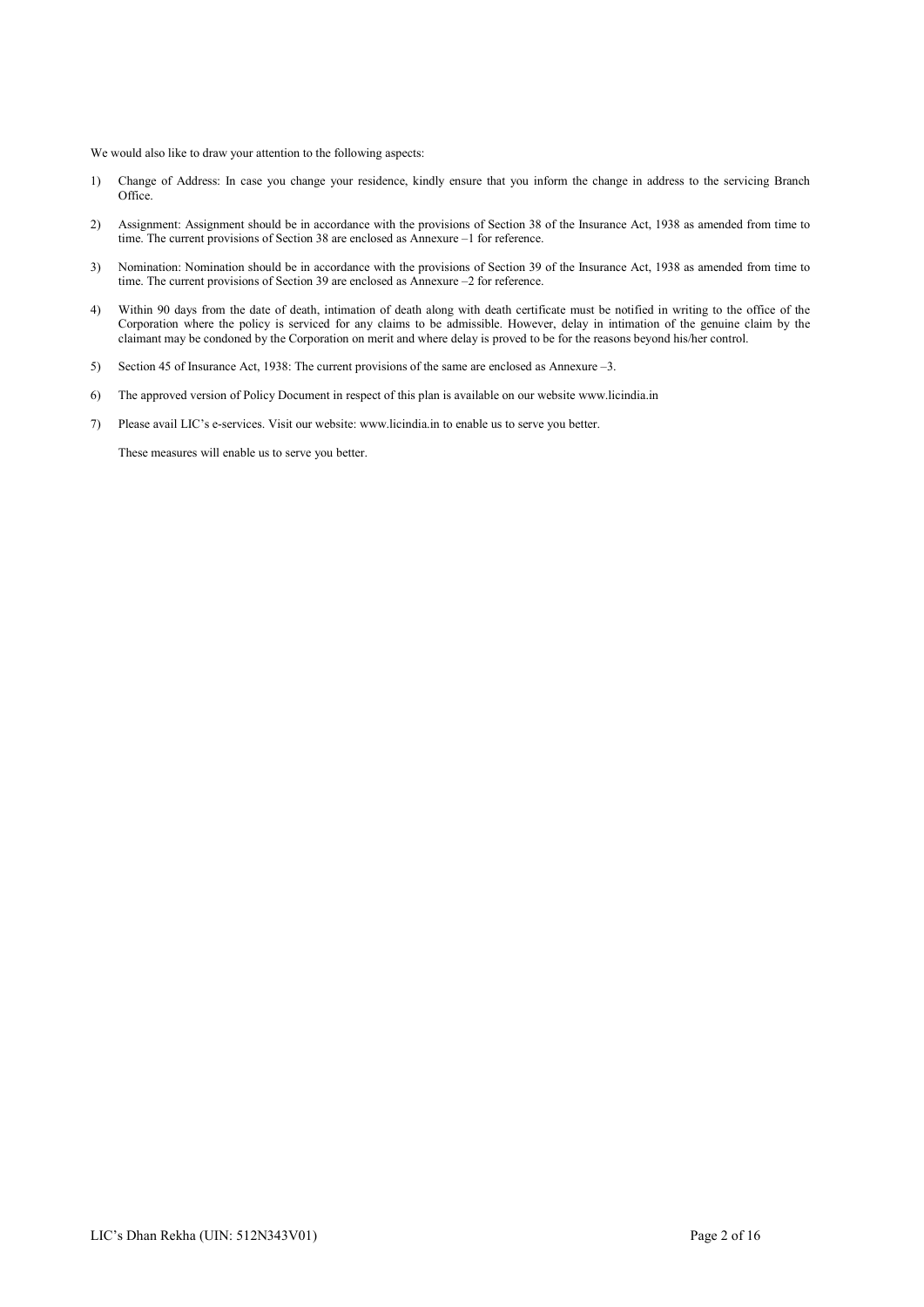We would also like to draw your attention to the following aspects:

- 1) Change of Address: In case you change your residence, kindly ensure that you inform the change in address to the servicing Branch Office.
- 2) Assignment: Assignment should be in accordance with the provisions of Section 38 of the Insurance Act, 1938 as amended from time to time. The current provisions of Section 38 are enclosed as Annexure –1 for reference.
- 3) Nomination: Nomination should be in accordance with the provisions of Section 39 of the Insurance Act, 1938 as amended from time to time. The current provisions of Section 39 are enclosed as Annexure –2 for reference.
- 4) Within 90 days from the date of death, intimation of death along with death certificate must be notified in writing to the office of the Corporation where the policy is serviced for any claims to be admissible. However, delay in intimation of the genuine claim by the claimant may be condoned by the Corporation on merit and where delay is proved to be for the reasons beyond his/her control.
- 5) Section 45 of Insurance Act, 1938: The current provisions of the same are enclosed as Annexure –3.
- 6) The approved version of Policy Document in respect of this plan is available on our website www.licindia.in
- 7) Please avail LIC's e-services. Visit our website: www.licindia.in to enable us to serve you better.

These measures will enable us to serve you better.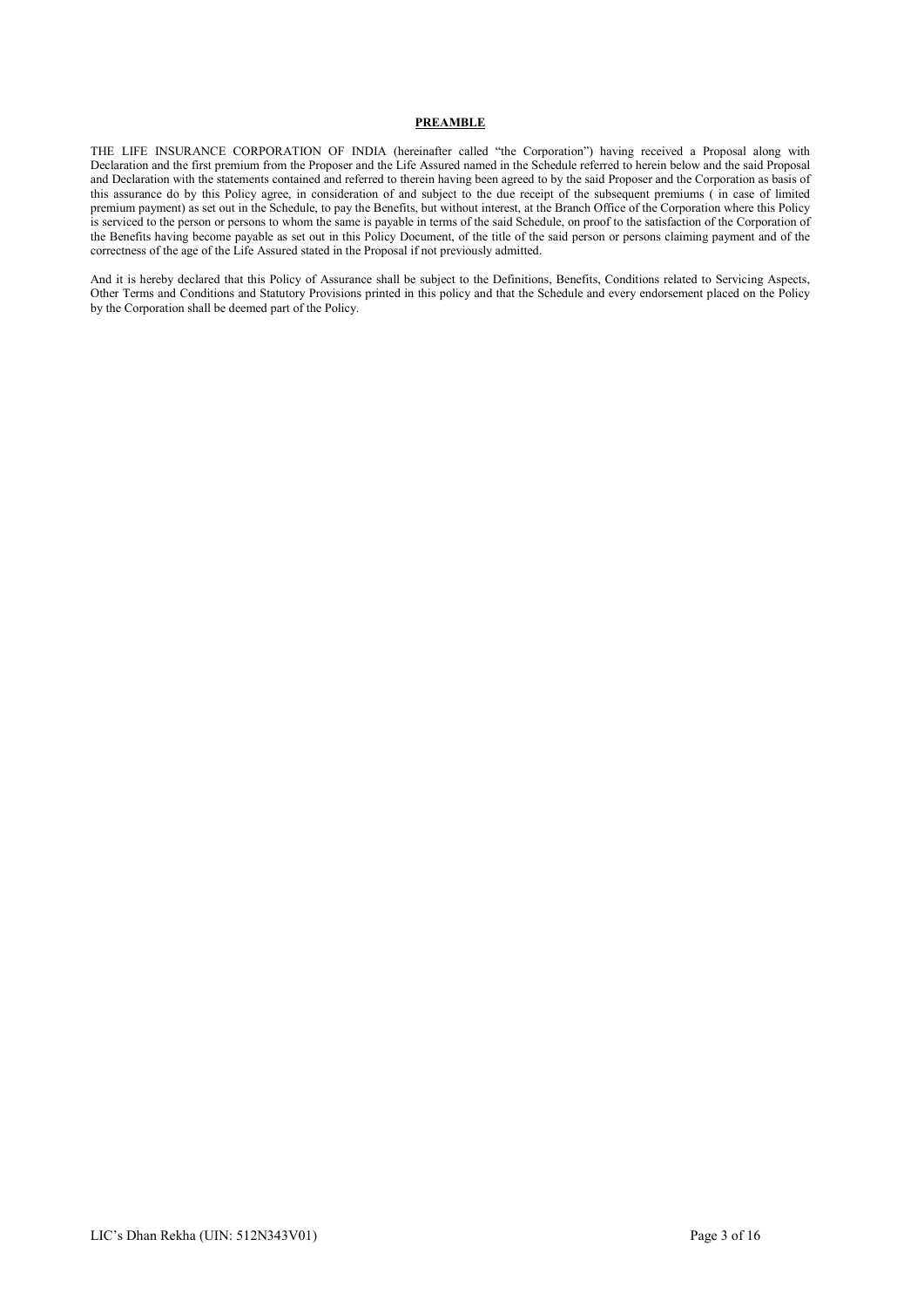# PREAMBLE

THE LIFE INSURANCE CORPORATION OF INDIA (hereinafter called "the Corporation") having received a Proposal along with Declaration and the first premium from the Proposer and the Life Assured named in the Schedule referred to herein below and the said Proposal and Declaration with the statements contained and referred to therein having been agreed to by the said Proposer and the Corporation as basis of this assurance do by this Policy agree, in consideration of and subject to the due receipt of the subsequent premiums ( in case of limited premium payment) as set out in the Schedule, to pay the Benefits, but without interest, at the Branch Office of the Corporation where this Policy is serviced to the person or persons to whom the same is payable in terms of the said Schedule, on proof to the satisfaction of the Corporation of the Benefits having become payable as set out in this Policy Document, of the title of the said person or persons claiming payment and of the correctness of the age of the Life Assured stated in the Proposal if not previously admitted.

And it is hereby declared that this Policy of Assurance shall be subject to the Definitions, Benefits, Conditions related to Servicing Aspects, Other Terms and Conditions and Statutory Provisions printed in this policy and that the Schedule and every endorsement placed on the Policy by the Corporation shall be deemed part of the Policy.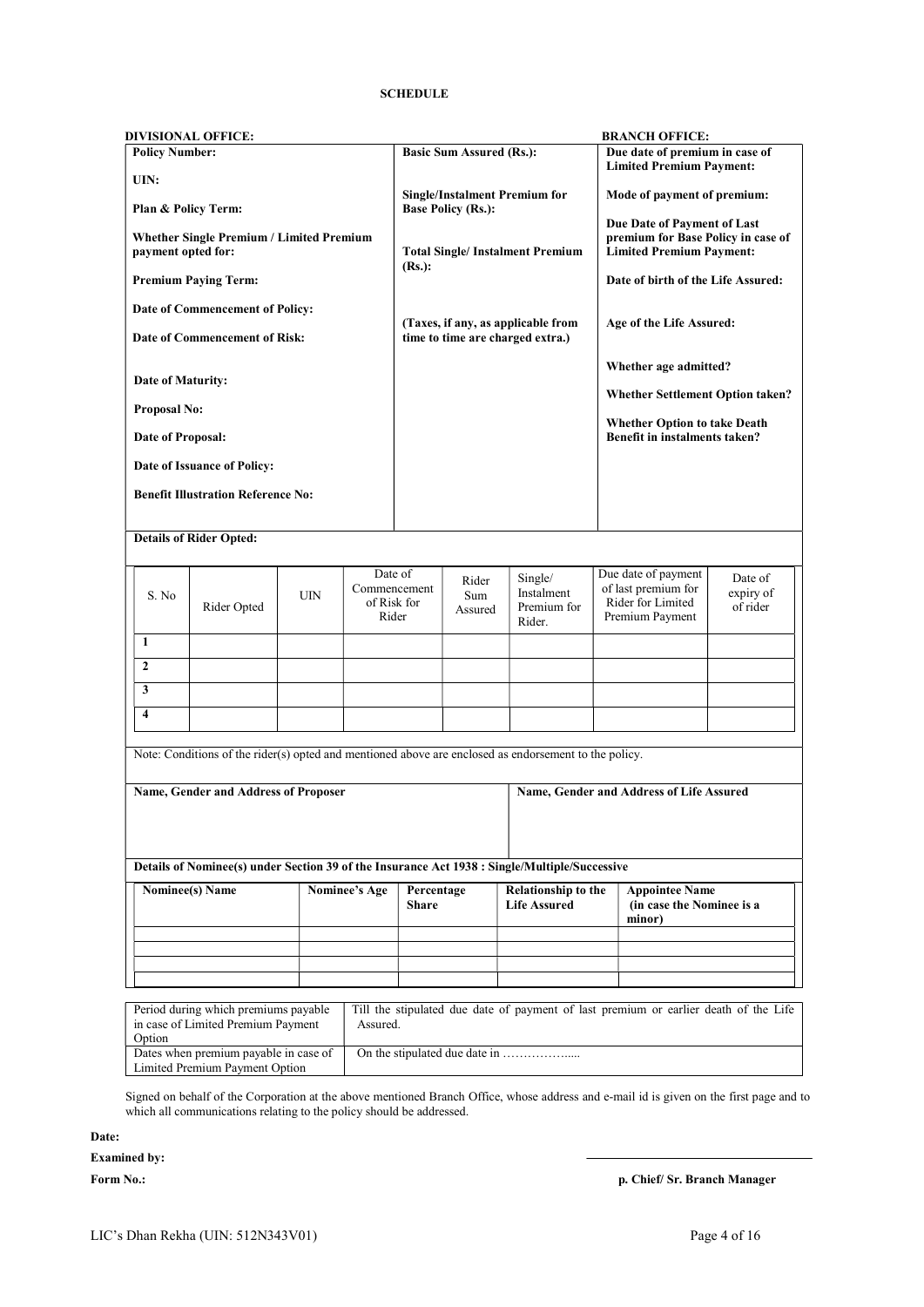# **SCHEDULE**

| <b>Policy Number:</b><br>UIN:<br>Plan & Policy Term:<br><b>Whether Single Premium / Limited Premium</b><br>payment opted for:<br>$(Rs.)$ :<br><b>Premium Paying Term:</b><br>Date of Commencement of Policy:<br>Date of Commencement of Risk:<br>Date of Maturity:<br><b>Proposal No:</b><br>Date of Proposal:<br>Date of Issuance of Policy:<br><b>Benefit Illustration Reference No:</b><br><b>Details of Rider Opted:</b><br>Date of<br>Commencement<br>S. No<br><b>UIN</b><br>of Risk for<br>Rider Opted<br>Rider<br>1<br>$\overline{2}$<br>3<br>$\overline{\mathbf{4}}$<br>Note: Conditions of the rider(s) opted and mentioned above are enclosed as endorsement to the policy.<br>Name, Gender and Address of Proposer<br>Details of Nominee(s) under Section 39 of the Insurance Act 1938 : Single/Multiple/Successive<br><b>Nominee(s)</b> Name<br><b>Nominee's Age</b> | <b>Basic Sum Assured (Rs.):</b><br><b>Single/Instalment Premium for</b><br><b>Base Policy (Rs.):</b><br>Rider<br>Sum<br>Assured | <b>Total Single/Instalment Premium</b><br>(Taxes, if any, as applicable from<br>time to time are charged extra.)<br>Single/<br>Instalment<br>Premium for<br>Rider. | Due date of premium in case of<br><b>Limited Premium Payment:</b><br>Mode of payment of premium:<br>Due Date of Payment of Last<br>premium for Base Policy in case of<br><b>Limited Premium Payment:</b><br>Date of birth of the Life Assured:<br>Age of the Life Assured:<br>Whether age admitted?<br><b>Whether Settlement Option taken?</b><br><b>Whether Option to take Death</b><br>Benefit in instalments taken?<br>Due date of payment<br>of last premium for<br>Rider for Limited<br>Premium Payment |                                  |
|----------------------------------------------------------------------------------------------------------------------------------------------------------------------------------------------------------------------------------------------------------------------------------------------------------------------------------------------------------------------------------------------------------------------------------------------------------------------------------------------------------------------------------------------------------------------------------------------------------------------------------------------------------------------------------------------------------------------------------------------------------------------------------------------------------------------------------------------------------------------------------|---------------------------------------------------------------------------------------------------------------------------------|--------------------------------------------------------------------------------------------------------------------------------------------------------------------|--------------------------------------------------------------------------------------------------------------------------------------------------------------------------------------------------------------------------------------------------------------------------------------------------------------------------------------------------------------------------------------------------------------------------------------------------------------------------------------------------------------|----------------------------------|
|                                                                                                                                                                                                                                                                                                                                                                                                                                                                                                                                                                                                                                                                                                                                                                                                                                                                                  |                                                                                                                                 |                                                                                                                                                                    |                                                                                                                                                                                                                                                                                                                                                                                                                                                                                                              |                                  |
|                                                                                                                                                                                                                                                                                                                                                                                                                                                                                                                                                                                                                                                                                                                                                                                                                                                                                  |                                                                                                                                 |                                                                                                                                                                    |                                                                                                                                                                                                                                                                                                                                                                                                                                                                                                              |                                  |
|                                                                                                                                                                                                                                                                                                                                                                                                                                                                                                                                                                                                                                                                                                                                                                                                                                                                                  |                                                                                                                                 |                                                                                                                                                                    |                                                                                                                                                                                                                                                                                                                                                                                                                                                                                                              |                                  |
|                                                                                                                                                                                                                                                                                                                                                                                                                                                                                                                                                                                                                                                                                                                                                                                                                                                                                  |                                                                                                                                 |                                                                                                                                                                    |                                                                                                                                                                                                                                                                                                                                                                                                                                                                                                              | Date of<br>expiry of<br>of rider |
|                                                                                                                                                                                                                                                                                                                                                                                                                                                                                                                                                                                                                                                                                                                                                                                                                                                                                  |                                                                                                                                 |                                                                                                                                                                    |                                                                                                                                                                                                                                                                                                                                                                                                                                                                                                              |                                  |
|                                                                                                                                                                                                                                                                                                                                                                                                                                                                                                                                                                                                                                                                                                                                                                                                                                                                                  |                                                                                                                                 |                                                                                                                                                                    |                                                                                                                                                                                                                                                                                                                                                                                                                                                                                                              |                                  |
|                                                                                                                                                                                                                                                                                                                                                                                                                                                                                                                                                                                                                                                                                                                                                                                                                                                                                  |                                                                                                                                 |                                                                                                                                                                    |                                                                                                                                                                                                                                                                                                                                                                                                                                                                                                              |                                  |
|                                                                                                                                                                                                                                                                                                                                                                                                                                                                                                                                                                                                                                                                                                                                                                                                                                                                                  |                                                                                                                                 |                                                                                                                                                                    |                                                                                                                                                                                                                                                                                                                                                                                                                                                                                                              |                                  |
|                                                                                                                                                                                                                                                                                                                                                                                                                                                                                                                                                                                                                                                                                                                                                                                                                                                                                  |                                                                                                                                 |                                                                                                                                                                    |                                                                                                                                                                                                                                                                                                                                                                                                                                                                                                              |                                  |
|                                                                                                                                                                                                                                                                                                                                                                                                                                                                                                                                                                                                                                                                                                                                                                                                                                                                                  |                                                                                                                                 |                                                                                                                                                                    |                                                                                                                                                                                                                                                                                                                                                                                                                                                                                                              |                                  |
|                                                                                                                                                                                                                                                                                                                                                                                                                                                                                                                                                                                                                                                                                                                                                                                                                                                                                  |                                                                                                                                 |                                                                                                                                                                    |                                                                                                                                                                                                                                                                                                                                                                                                                                                                                                              |                                  |
|                                                                                                                                                                                                                                                                                                                                                                                                                                                                                                                                                                                                                                                                                                                                                                                                                                                                                  |                                                                                                                                 |                                                                                                                                                                    |                                                                                                                                                                                                                                                                                                                                                                                                                                                                                                              |                                  |
|                                                                                                                                                                                                                                                                                                                                                                                                                                                                                                                                                                                                                                                                                                                                                                                                                                                                                  |                                                                                                                                 |                                                                                                                                                                    |                                                                                                                                                                                                                                                                                                                                                                                                                                                                                                              |                                  |
|                                                                                                                                                                                                                                                                                                                                                                                                                                                                                                                                                                                                                                                                                                                                                                                                                                                                                  |                                                                                                                                 |                                                                                                                                                                    |                                                                                                                                                                                                                                                                                                                                                                                                                                                                                                              |                                  |
|                                                                                                                                                                                                                                                                                                                                                                                                                                                                                                                                                                                                                                                                                                                                                                                                                                                                                  |                                                                                                                                 |                                                                                                                                                                    |                                                                                                                                                                                                                                                                                                                                                                                                                                                                                                              |                                  |
|                                                                                                                                                                                                                                                                                                                                                                                                                                                                                                                                                                                                                                                                                                                                                                                                                                                                                  |                                                                                                                                 |                                                                                                                                                                    |                                                                                                                                                                                                                                                                                                                                                                                                                                                                                                              |                                  |
|                                                                                                                                                                                                                                                                                                                                                                                                                                                                                                                                                                                                                                                                                                                                                                                                                                                                                  |                                                                                                                                 |                                                                                                                                                                    |                                                                                                                                                                                                                                                                                                                                                                                                                                                                                                              |                                  |
|                                                                                                                                                                                                                                                                                                                                                                                                                                                                                                                                                                                                                                                                                                                                                                                                                                                                                  |                                                                                                                                 |                                                                                                                                                                    |                                                                                                                                                                                                                                                                                                                                                                                                                                                                                                              |                                  |
|                                                                                                                                                                                                                                                                                                                                                                                                                                                                                                                                                                                                                                                                                                                                                                                                                                                                                  |                                                                                                                                 |                                                                                                                                                                    |                                                                                                                                                                                                                                                                                                                                                                                                                                                                                                              |                                  |
|                                                                                                                                                                                                                                                                                                                                                                                                                                                                                                                                                                                                                                                                                                                                                                                                                                                                                  |                                                                                                                                 |                                                                                                                                                                    |                                                                                                                                                                                                                                                                                                                                                                                                                                                                                                              |                                  |
|                                                                                                                                                                                                                                                                                                                                                                                                                                                                                                                                                                                                                                                                                                                                                                                                                                                                                  |                                                                                                                                 |                                                                                                                                                                    |                                                                                                                                                                                                                                                                                                                                                                                                                                                                                                              |                                  |
|                                                                                                                                                                                                                                                                                                                                                                                                                                                                                                                                                                                                                                                                                                                                                                                                                                                                                  |                                                                                                                                 |                                                                                                                                                                    |                                                                                                                                                                                                                                                                                                                                                                                                                                                                                                              |                                  |
|                                                                                                                                                                                                                                                                                                                                                                                                                                                                                                                                                                                                                                                                                                                                                                                                                                                                                  |                                                                                                                                 |                                                                                                                                                                    | Name, Gender and Address of Life Assured                                                                                                                                                                                                                                                                                                                                                                                                                                                                     |                                  |
|                                                                                                                                                                                                                                                                                                                                                                                                                                                                                                                                                                                                                                                                                                                                                                                                                                                                                  |                                                                                                                                 |                                                                                                                                                                    |                                                                                                                                                                                                                                                                                                                                                                                                                                                                                                              |                                  |
|                                                                                                                                                                                                                                                                                                                                                                                                                                                                                                                                                                                                                                                                                                                                                                                                                                                                                  |                                                                                                                                 |                                                                                                                                                                    |                                                                                                                                                                                                                                                                                                                                                                                                                                                                                                              |                                  |
|                                                                                                                                                                                                                                                                                                                                                                                                                                                                                                                                                                                                                                                                                                                                                                                                                                                                                  | Percentage<br><b>Share</b>                                                                                                      | <b>Relationship to the</b><br><b>Life Assured</b>                                                                                                                  | <b>Appointee Name</b><br>(in case the Nominee is a                                                                                                                                                                                                                                                                                                                                                                                                                                                           |                                  |
|                                                                                                                                                                                                                                                                                                                                                                                                                                                                                                                                                                                                                                                                                                                                                                                                                                                                                  |                                                                                                                                 |                                                                                                                                                                    | minor)                                                                                                                                                                                                                                                                                                                                                                                                                                                                                                       |                                  |
|                                                                                                                                                                                                                                                                                                                                                                                                                                                                                                                                                                                                                                                                                                                                                                                                                                                                                  |                                                                                                                                 |                                                                                                                                                                    |                                                                                                                                                                                                                                                                                                                                                                                                                                                                                                              |                                  |
|                                                                                                                                                                                                                                                                                                                                                                                                                                                                                                                                                                                                                                                                                                                                                                                                                                                                                  |                                                                                                                                 |                                                                                                                                                                    |                                                                                                                                                                                                                                                                                                                                                                                                                                                                                                              |                                  |
| Period during which premiums payable                                                                                                                                                                                                                                                                                                                                                                                                                                                                                                                                                                                                                                                                                                                                                                                                                                             |                                                                                                                                 |                                                                                                                                                                    | Till the stipulated due date of payment of last premium or earlier death of the Life                                                                                                                                                                                                                                                                                                                                                                                                                         |                                  |

Signed on behalf of the Corporation at the above mentioned Branch Office, whose address and e-mail id is given on the first page and to which all communications relating to the policy should be addressed.

Date:

Examined by:

Form No.: p. Chief/ Sr. Branch Manager

Limited Premium Payment Option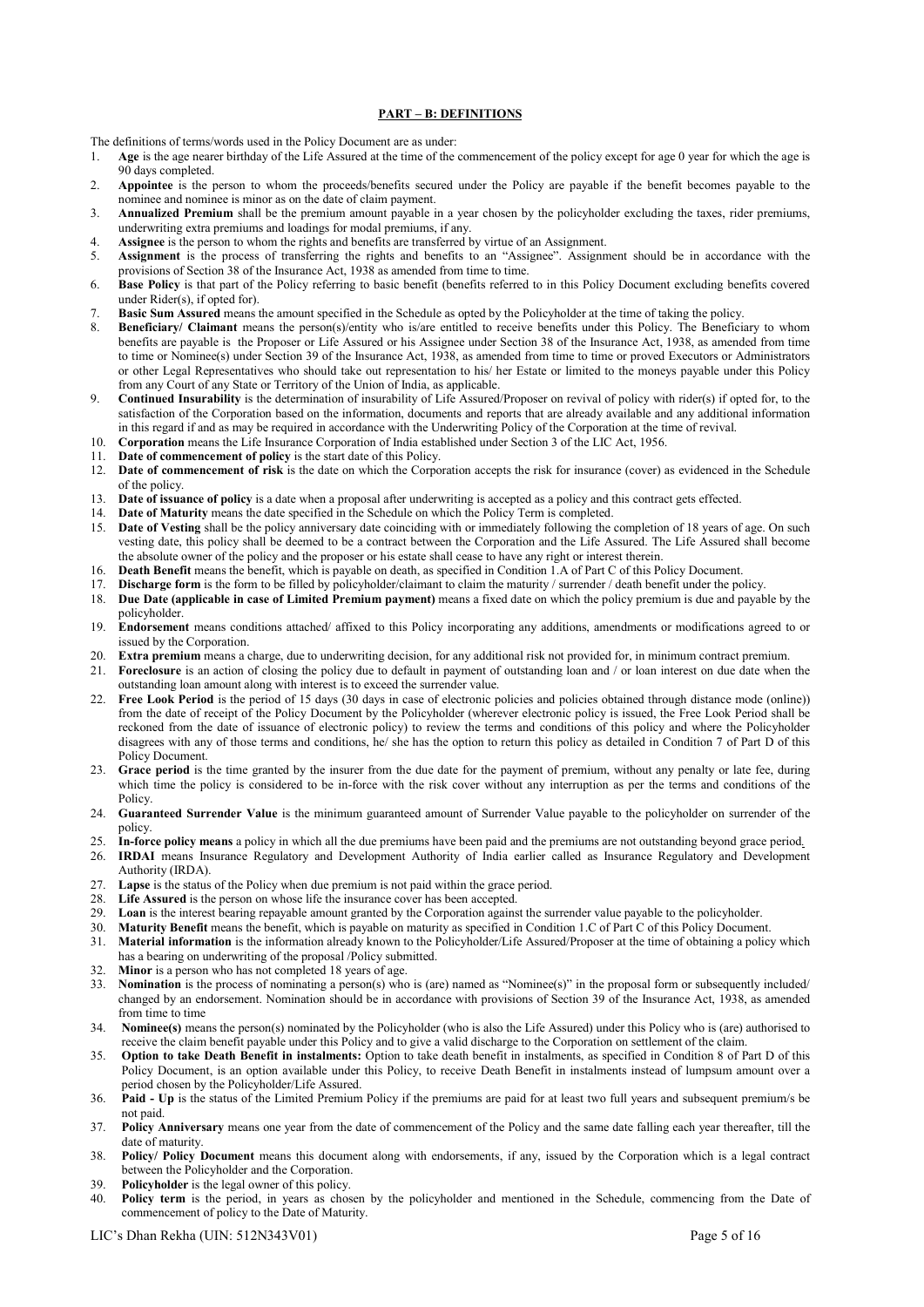# PART – B: DEFINITIONS

The definitions of terms/words used in the Policy Document are as under:

- 1. Age is the age nearer birthday of the Life Assured at the time of the commencement of the policy except for age 0 year for which the age is 90 days completed.
- 2. Appointee is the person to whom the proceeds/benefits secured under the Policy are payable if the benefit becomes payable to the nominee and nominee is minor as on the date of claim payment.
- 3. Annualized Premium shall be the premium amount payable in a year chosen by the policyholder excluding the taxes, rider premiums, underwriting extra premiums and loadings for modal premiums, if any.
- 4. Assignee is the person to whom the rights and benefits are transferred by virtue of an Assignment.
- 5. Assignment is the process of transferring the rights and benefits to an "Assignee". Assignment should be in accordance with the provisions of Section 38 of the Insurance Act, 1938 as amended from time to time.
- 6. Base Policy is that part of the Policy referring to basic benefit (benefits referred to in this Policy Document excluding benefits covered under Rider(s), if opted for).
- 7. Basic Sum Assured means the amount specified in the Schedule as opted by the Policyholder at the time of taking the policy.
- 8. Beneficiary/ Claimant means the person(s)/entity who is/are entitled to receive benefits under this Policy. The Beneficiary to whom benefits are payable is the Proposer or Life Assured or his Assignee under Section 38 of the Insurance Act, 1938, as amended from time to time or Nominee(s) under Section 39 of the Insurance Act, 1938, as amended from time to time or proved Executors or Administrators or other Legal Representatives who should take out representation to his/ her Estate or limited to the moneys payable under this Policy from any Court of any State or Territory of the Union of India, as applicable.
- 9. Continued Insurability is the determination of insurability of Life Assured/Proposer on revival of policy with rider(s) if opted for, to the satisfaction of the Corporation based on the information, documents and reports that are already available and any additional information in this regard if and as may be required in accordance with the Underwriting Policy of the Corporation at the time of revival.
- 10. Corporation means the Life Insurance Corporation of India established under Section 3 of the LIC Act, 1956.
- 11. Date of commencement of policy is the start date of this Policy.
- 12. Date of commencement of risk is the date on which the Corporation accepts the risk for insurance (cover) as evidenced in the Schedule of the policy.
- 13. Date of issuance of policy is a date when a proposal after underwriting is accepted as a policy and this contract gets effected.
- 14. Date of Maturity means the date specified in the Schedule on which the Policy Term is completed.
- 15. Date of Vesting shall be the policy anniversary date coinciding with or immediately following the completion of 18 years of age. On such vesting date, this policy shall be deemed to be a contract between the Corporation and the Life Assured. The Life Assured shall become the absolute owner of the policy and the proposer or his estate shall cease to have any right or interest therein.
- 16. Death Benefit means the benefit, which is payable on death, as specified in Condition 1.A of Part C of this Policy Document.
- 17. Discharge form is the form to be filled by policyholder/claimant to claim the maturity / surrender / death benefit under the policy.<br>18. Due Date (applicable in case of Limited Premium payment) means a fixed date on wh
- Due Date (applicable in case of Limited Premium payment) means a fixed date on which the policy premium is due and payable by the policyholder.
- 19. Endorsement means conditions attached/ affixed to this Policy incorporating any additions, amendments or modifications agreed to or issued by the Corporation.
- 20. Extra premium means a charge, due to underwriting decision, for any additional risk not provided for, in minimum contract premium.
- 21. Foreclosure is an action of closing the policy due to default in payment of outstanding loan and / or loan interest on due date when the outstanding loan amount along with interest is to exceed the surrender value.
- 22. Free Look Period is the period of 15 days (30 days in case of electronic policies and policies obtained through distance mode (online)) from the date of receipt of the Policy Document by the Policyholder (wherever electronic policy is issued, the Free Look Period shall be reckoned from the date of issuance of electronic policy) to review the terms and conditions of this policy and where the Policyholder disagrees with any of those terms and conditions, he/ she has the option to return this policy as detailed in Condition 7 of Part D of this Policy Document.
- 23. Grace period is the time granted by the insurer from the due date for the payment of premium, without any penalty or late fee, during which time the policy is considered to be in-force with the risk cover without any interruption as per the terms and conditions of the Policy.
- 24. Guaranteed Surrender Value is the minimum guaranteed amount of Surrender Value payable to the policyholder on surrender of the policy.
- 25. In-force policy means a policy in which all the due premiums have been paid and the premiums are not outstanding beyond grace period.
- 26. IRDAI means Insurance Regulatory and Development Authority of India earlier called as Insurance Regulatory and Development Authority (IRDA).
- 27. Lapse is the status of the Policy when due premium is not paid within the grace period.
- 28. Life Assured is the person on whose life the insurance cover has been accepted.<br>29. Loan is the interest bearing repayable amount granted by the Corporation agains
- Loan is the interest bearing repayable amount granted by the Corporation against the surrender value payable to the policyholder.
- 30. Maturity Benefit means the benefit, which is payable on maturity as specified in Condition 1.C of Part C of this Policy Document.
- 31. Material information is the information already known to the Policyholder/Life Assured/Proposer at the time of obtaining a policy which has a bearing on underwriting of the proposal /Policy submitted.
- 32. Minor is a person who has not completed 18 years of age.
- 33. Nomination is the process of nominating a person(s) who is (are) named as "Nominee(s)" in the proposal form or subsequently included/ changed by an endorsement. Nomination should be in accordance with provisions of Section 39 of the Insurance Act, 1938, as amended from time to time
- 34. Nominee(s) means the person(s) nominated by the Policyholder (who is also the Life Assured) under this Policy who is (are) authorised to receive the claim benefit payable under this Policy and to give a valid discharge to the Corporation on settlement of the claim.
- 35. Option to take Death Benefit in instalments: Option to take death benefit in instalments, as specified in Condition 8 of Part D of this Policy Document, is an option available under this Policy, to receive Death Benefit in instalments instead of lumpsum amount over a period chosen by the Policyholder/Life Assured.
- 36. Paid Up is the status of the Limited Premium Policy if the premiums are paid for at least two full years and subsequent premium/s be not paid.
- 37. Policy Anniversary means one year from the date of commencement of the Policy and the same date falling each year thereafter, till the date of maturity.
- 38. Policy/ Policy Document means this document along with endorsements, if any, issued by the Corporation which is a legal contract between the Policyholder and the Corporation.
- 39. Policyholder is the legal owner of this policy.
- 40. Policy term is the period, in years as chosen by the policyholder and mentioned in the Schedule, commencing from the Date of commencement of policy to the Date of Maturity.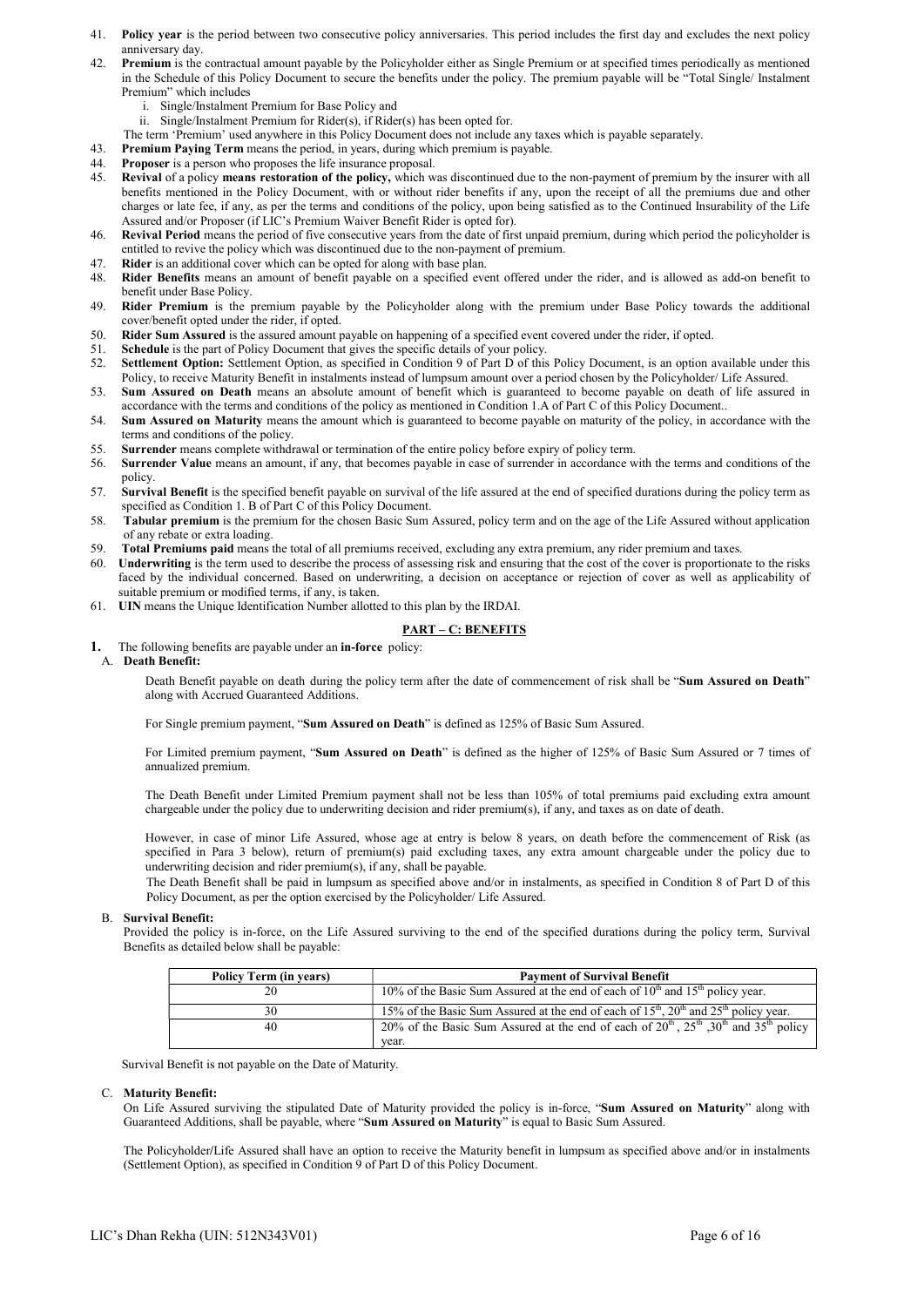- 41. Policy year is the period between two consecutive policy anniversaries. This period includes the first day and excludes the next policy anniversary day.
- 42. Premium is the contractual amount payable by the Policyholder either as Single Premium or at specified times periodically as mentioned in the Schedule of this Policy Document to secure the benefits under the policy. The premium payable will be "Total Single/ Instalment Premium" which includes
	- i. Single/Instalment Premium for Base Policy and
	- ii. Single/Instalment Premium for Rider(s), if Rider(s) has been opted for.
	- The term 'Premium' used anywhere in this Policy Document does not include any taxes which is payable separately.
- 43. Premium Paying Term means the period, in years, during which premium is payable.
- 44. Proposer is a person who proposes the life insurance proposal.
- 45. Revival of a policy means restoration of the policy, which was discontinued due to the non-payment of premium by the insurer with all benefits mentioned in the Policy Document, with or without rider benefits if any, upon the receipt of all the premiums due and other charges or late fee, if any, as per the terms and conditions of the policy, upon being satisfied as to the Continued Insurability of the Life Assured and/or Proposer (if LIC's Premium Waiver Benefit Rider is opted for).
- 46. Revival Period means the period of five consecutive years from the date of first unpaid premium, during which period the policyholder is entitled to revive the policy which was discontinued due to the non-payment of premium.
- 
- 47. Rider is an additional cover which can be opted for along with base plan.<br>48. Rider Benefits means an amount of benefit payable on a specified eve Rider Benefits means an amount of benefit payable on a specified event offered under the rider, and is allowed as add-on benefit to benefit under Base Policy.
- 49. Rider Premium is the premium payable by the Policyholder along with the premium under Base Policy towards the additional cover/benefit opted under the rider, if opted.
- 50. Rider Sum Assured is the assured amount payable on happening of a specified event covered under the rider, if opted.
- 51. Schedule is the part of Policy Document that gives the specific details of your policy.
- 52. Settlement Option: Settlement Option, as specified in Condition 9 of Part D of this Policy Document, is an option available under this Policy, to receive Maturity Benefit in instalments instead of lumpsum amount over a period chosen by the Policyholder/ Life Assured.
- 53. Sum Assured on Death means an absolute amount of benefit which is guaranteed to become payable on death of life assured in accordance with the terms and conditions of the policy as mentioned in Condition 1.A of Part C of this Policy Document..
- 54. Sum Assured on Maturity means the amount which is guaranteed to become payable on maturity of the policy, in accordance with the terms and conditions of the policy.
- 55. Surrender means complete withdrawal or termination of the entire policy before expiry of policy term.
- 56. Surrender Value means an amount, if any, that becomes payable in case of surrender in accordance with the terms and conditions of the policy.
- 57. Survival Benefit is the specified benefit payable on survival of the life assured at the end of specified durations during the policy term as specified as Condition 1. B of Part C of this Policy Document.
- 58. Tabular premium is the premium for the chosen Basic Sum Assured, policy term and on the age of the Life Assured without application of any rebate or extra loading.
- 59. Total Premiums paid means the total of all premiums received, excluding any extra premium, any rider premium and taxes.
- 60. Underwriting is the term used to describe the process of assessing risk and ensuring that the cost of the cover is proportionate to the risks faced by the individual concerned. Based on underwriting, a decision on acceptance or rejection of cover as well as applicability of suitable premium or modified terms, if any, is taken.
- 61. UIN means the Unique Identification Number allotted to this plan by the IRDAI.

# PART – C: BENEFITS

# 1. The following benefits are payable under an in-force policy:

# A. Death Benefit:

Death Benefit payable on death during the policy term after the date of commencement of risk shall be "Sum Assured on Death" along with Accrued Guaranteed Additions.

For Single premium payment, "Sum Assured on Death" is defined as 125% of Basic Sum Assured.

For Limited premium payment, "Sum Assured on Death" is defined as the higher of 125% of Basic Sum Assured or 7 times of annualized premium.

The Death Benefit under Limited Premium payment shall not be less than 105% of total premiums paid excluding extra amount chargeable under the policy due to underwriting decision and rider premium(s), if any, and taxes as on date of death.

However, in case of minor Life Assured, whose age at entry is below 8 years, on death before the commencement of Risk (as specified in Para 3 below), return of premium(s) paid excluding taxes, any extra amount chargeable under the policy due to underwriting decision and rider premium(s), if any, shall be payable.

The Death Benefit shall be paid in lumpsum as specified above and/or in instalments, as specified in Condition 8 of Part D of this Policy Document, as per the option exercised by the Policyholder/ Life Assured.

# B. Survival Benefit:

Provided the policy is in-force, on the Life Assured surviving to the end of the specified durations during the policy term, Survival Benefits as detailed below shall be payable:

| <b>Policy Term (in years)</b> | <b>Payment of Survival Benefit</b>                                                                                       |
|-------------------------------|--------------------------------------------------------------------------------------------------------------------------|
|                               | 10% of the Basic Sum Assured at the end of each of $10th$ and $15th$ policy year.                                        |
| 30                            | 15% of the Basic Sum Assured at the end of each of $15^{\text{th}}$ , $20^{\text{th}}$ and $25^{\text{th}}$ policy year. |
| 40                            | 20% of the Basic Sum Assured at the end of each of $20^{th}$ , $25^{th}$ , $30^{th}$ and $35^{th}$ policy                |
|                               | vear.                                                                                                                    |

Survival Benefit is not payable on the Date of Maturity.

# C. Maturity Benefit:

On Life Assured surviving the stipulated Date of Maturity provided the policy is in-force, "Sum Assured on Maturity" along with Guaranteed Additions, shall be payable, where "Sum Assured on Maturity" is equal to Basic Sum Assured.

The Policyholder/Life Assured shall have an option to receive the Maturity benefit in lumpsum as specified above and/or in instalments (Settlement Option), as specified in Condition 9 of Part D of this Policy Document.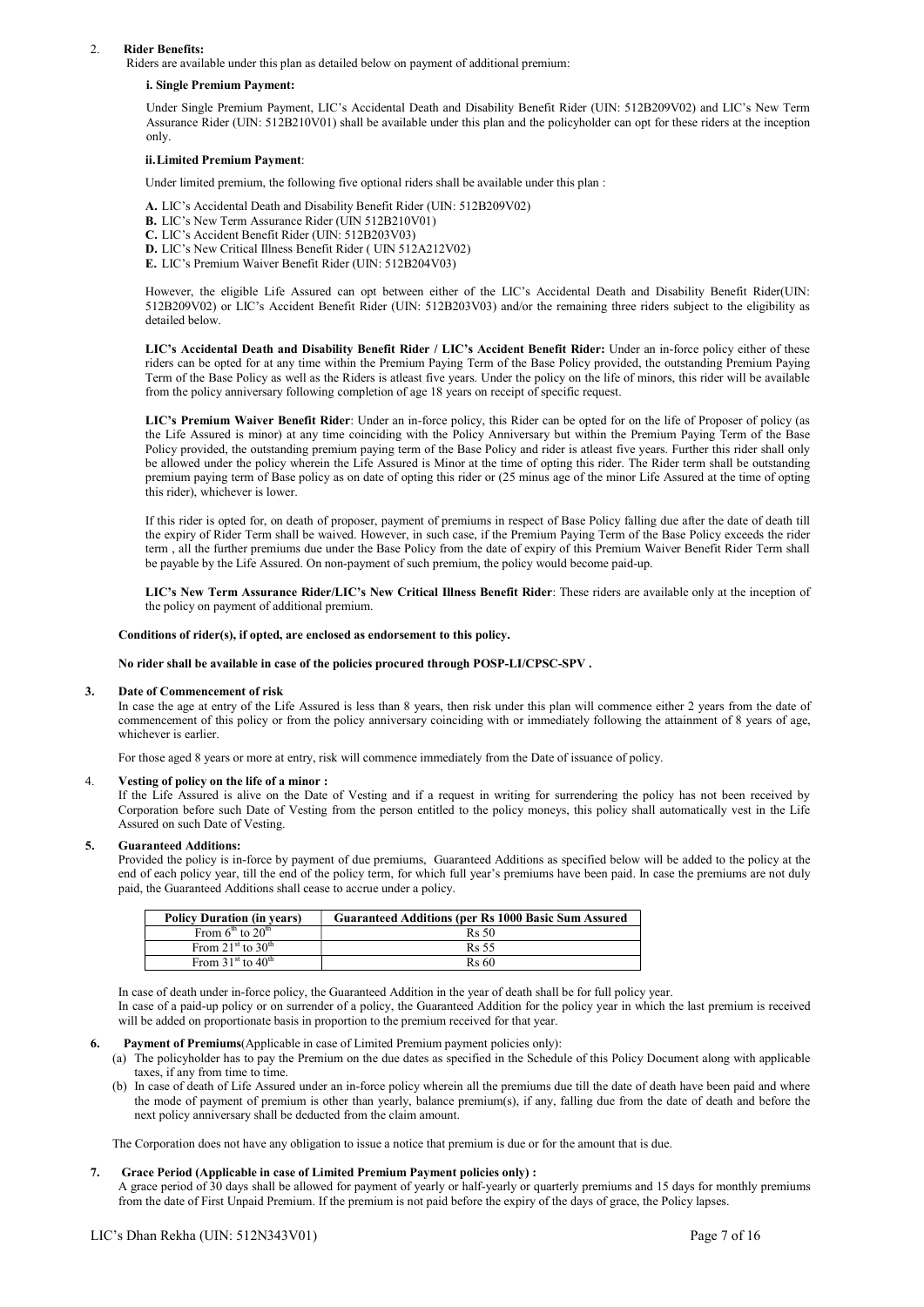#### 2. Rider Benefits:

Riders are available under this plan as detailed below on payment of additional premium:

#### i. Single Premium Payment:

Under Single Premium Payment, LIC's Accidental Death and Disability Benefit Rider (UIN: 512B209V02) and LIC's New Term Assurance Rider (UIN: 512B210V01) shall be available under this plan and the policyholder can opt for these riders at the inception only.

#### ii.Limited Premium Payment:

Under limited premium, the following five optional riders shall be available under this plan :

- A. LIC's Accidental Death and Disability Benefit Rider (UIN: 512B209V02)
- B. LIC's New Term Assurance Rider (UIN 512B210V01)
- C. LIC's Accident Benefit Rider (UIN: 512B203V03)
- D. LIC's New Critical Illness Benefit Rider ( UIN 512A212V02)
- E. LIC's Premium Waiver Benefit Rider (UIN: 512B204V03)

However, the eligible Life Assured can opt between either of the LIC's Accidental Death and Disability Benefit Rider(UIN: 512B209V02) or LIC's Accident Benefit Rider (UIN: 512B203V03) and/or the remaining three riders subject to the eligibility as detailed below.

LIC's Accidental Death and Disability Benefit Rider / LIC's Accident Benefit Rider: Under an in-force policy either of these riders can be opted for at any time within the Premium Paying Term of the Base Policy provided, the outstanding Premium Paying Term of the Base Policy as well as the Riders is atleast five years. Under the policy on the life of minors, this rider will be available from the policy anniversary following completion of age 18 years on receipt of specific request.

LIC's Premium Waiver Benefit Rider: Under an in-force policy, this Rider can be opted for on the life of Proposer of policy (as the Life Assured is minor) at any time coinciding with the Policy Anniversary but within the Premium Paying Term of the Base Policy provided, the outstanding premium paying term of the Base Policy and rider is atleast five years. Further this rider shall only be allowed under the policy wherein the Life Assured is Minor at the time of opting this rider. The Rider term shall be outstanding premium paying term of Base policy as on date of opting this rider or (25 minus age of the minor Life Assured at the time of opting this rider), whichever is lower.

If this rider is opted for, on death of proposer, payment of premiums in respect of Base Policy falling due after the date of death till the expiry of Rider Term shall be waived. However, in such case, if the Premium Paying Term of the Base Policy exceeds the rider term , all the further premiums due under the Base Policy from the date of expiry of this Premium Waiver Benefit Rider Term shall be payable by the Life Assured. On non-payment of such premium, the policy would become paid-up.

LIC's New Term Assurance Rider/LIC's New Critical Illness Benefit Rider: These riders are available only at the inception of the policy on payment of additional premium.

#### Conditions of rider(s), if opted, are enclosed as endorsement to this policy.

No rider shall be available in case of the policies procured through POSP-LI/CPSC-SPV .

#### 3. Date of Commencement of risk

In case the age at entry of the Life Assured is less than 8 years, then risk under this plan will commence either 2 years from the date of commencement of this policy or from the policy anniversary coinciding with or immediately following the attainment of 8 years of age, whichever is earlier.

For those aged 8 years or more at entry, risk will commence immediately from the Date of issuance of policy.

# 4. Vesting of policy on the life of a minor :

If the Life Assured is alive on the Date of Vesting and if a request in writing for surrendering the policy has not been received by Corporation before such Date of Vesting from the person entitled to the policy moneys, this policy shall automatically vest in the Life Assured on such Date of Vesting.

#### 5. Guaranteed Additions:

Provided the policy is in-force by payment of due premiums, Guaranteed Additions as specified below will be added to the policy at the end of each policy year, till the end of the policy term, for which full year's premiums have been paid. In case the premiums are not duly paid, the Guaranteed Additions shall cease to accrue under a policy.

| <b>Policy Duration (in years)</b>         | <b>Guaranteed Additions (per Rs 1000 Basic Sum Assured)</b> |
|-------------------------------------------|-------------------------------------------------------------|
| From $6th$ to $20th$                      | Rs 50                                                       |
| From 21 <sup>st</sup> to 30 <sup>th</sup> | <b>Rs</b> 55                                                |
| From $31st$ to $40th$                     | <b>Rs</b> 60                                                |

In case of death under in-force policy, the Guaranteed Addition in the year of death shall be for full policy year.

In case of a paid-up policy or on surrender of a policy, the Guaranteed Addition for the policy year in which the last premium is received will be added on proportionate basis in proportion to the premium received for that year.

## Payment of Premiums(Applicable in case of Limited Premium payment policies only):

- (a) The policyholder has to pay the Premium on the due dates as specified in the Schedule of this Policy Document along with applicable taxes, if any from time to time.
- (b) In case of death of Life Assured under an in-force policy wherein all the premiums due till the date of death have been paid and where the mode of payment of premium is other than yearly, balance premium(s), if any, falling due from the date of death and before the next policy anniversary shall be deducted from the claim amount.

The Corporation does not have any obligation to issue a notice that premium is due or for the amount that is due.

#### 7. Grace Period (Applicable in case of Limited Premium Payment policies only) :

A grace period of 30 days shall be allowed for payment of yearly or half-yearly or quarterly premiums and 15 days for monthly premiums from the date of First Unpaid Premium. If the premium is not paid before the expiry of the days of grace, the Policy lapses.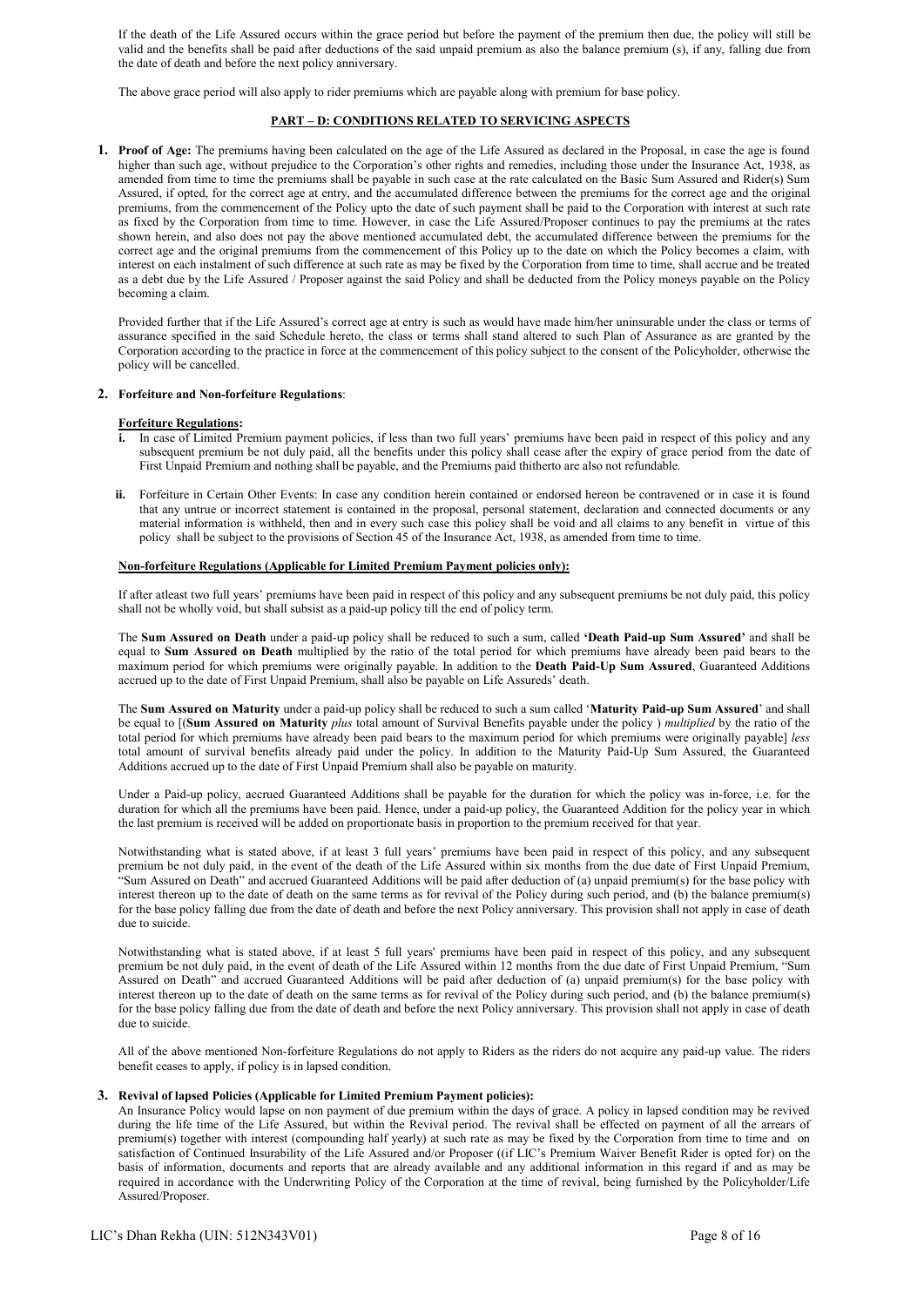If the death of the Life Assured occurs within the grace period but before the payment of the premium then due, the policy will still be valid and the benefits shall be paid after deductions of the said unpaid premium as also the balance premium (s), if any, falling due from the date of death and before the next policy anniversary.

The above grace period will also apply to rider premiums which are payable along with premium for base policy.

# PART – D: CONDITIONS RELATED TO SERVICING ASPECTS

1. Proof of Age: The premiums having been calculated on the age of the Life Assured as declared in the Proposal, in case the age is found higher than such age, without prejudice to the Corporation's other rights and remedies, including those under the Insurance Act, 1938, as amended from time to time the premiums shall be payable in such case at the rate calculated on the Basic Sum Assured and Rider(s) Sum Assured, if opted, for the correct age at entry, and the accumulated difference between the premiums for the correct age and the original premiums, from the commencement of the Policy upto the date of such payment shall be paid to the Corporation with interest at such rate as fixed by the Corporation from time to time. However, in case the Life Assured/Proposer continues to pay the premiums at the rates shown herein, and also does not pay the above mentioned accumulated debt, the accumulated difference between the premiums for the correct age and the original premiums from the commencement of this Policy up to the date on which the Policy becomes a claim, with interest on each instalment of such difference at such rate as may be fixed by the Corporation from time to time, shall accrue and be treated as a debt due by the Life Assured / Proposer against the said Policy and shall be deducted from the Policy moneys payable on the Policy becoming a claim.

Provided further that if the Life Assured's correct age at entry is such as would have made him/her uninsurable under the class or terms of assurance specified in the said Schedule hereto, the class or terms shall stand altered to such Plan of Assurance as are granted by the Corporation according to the practice in force at the commencement of this policy subject to the consent of the Policyholder, otherwise the policy will be cancelled.

#### 2. Forfeiture and Non-forfeiture Regulations:

# Forfeiture Regulations:

- i. In case of Limited Premium payment policies, if less than two full years' premiums have been paid in respect of this policy and any subsequent premium be not duly paid, all the benefits under this policy shall cease after the expiry of grace period from the date of First Unpaid Premium and nothing shall be payable, and the Premiums paid thitherto are also not refundable.
- ii. Forfeiture in Certain Other Events: In case any condition herein contained or endorsed hereon be contravened or in case it is found that any untrue or incorrect statement is contained in the proposal, personal statement, declaration and connected documents or any material information is withheld, then and in every such case this policy shall be void and all claims to any benefit in virtue of this policy shall be subject to the provisions of Section 45 of the Insurance Act, 1938, as amended from time to time.

#### Non-forfeiture Regulations (Applicable for Limited Premium Payment policies only):

If after atleast two full years' premiums have been paid in respect of this policy and any subsequent premiums be not duly paid, this policy shall not be wholly void, but shall subsist as a paid-up policy till the end of policy term.

The Sum Assured on Death under a paid-up policy shall be reduced to such a sum, called 'Death Paid-up Sum Assured' and shall be equal to Sum Assured on Death multiplied by the ratio of the total period for which premiums have already been paid bears to the maximum period for which premiums were originally payable. In addition to the Death Paid-Up Sum Assured, Guaranteed Additions accrued up to the date of First Unpaid Premium, shall also be payable on Life Assureds' death.

The Sum Assured on Maturity under a paid-up policy shall be reduced to such a sum called 'Maturity Paid-up Sum Assured' and shall be equal to [(Sum Assured on Maturity plus total amount of Survival Benefits payable under the policy) multiplied by the ratio of the total period for which premiums have already been paid bears to the maximum period for which premiums were originally payable] less total amount of survival benefits already paid under the policy. In addition to the Maturity Paid-Up Sum Assured, the Guaranteed Additions accrued up to the date of First Unpaid Premium shall also be payable on maturity.

Under a Paid-up policy, accrued Guaranteed Additions shall be payable for the duration for which the policy was in-force, i.e. for the duration for which all the premiums have been paid. Hence, under a paid-up policy, the Guaranteed Addition for the policy year in which the last premium is received will be added on proportionate basis in proportion to the premium received for that year.

Notwithstanding what is stated above, if at least 3 full years' premiums have been paid in respect of this policy, and any subsequent premium be not duly paid, in the event of the death of the Life Assured within six months from the due date of First Unpaid Premium, "Sum Assured on Death" and accrued Guaranteed Additions will be paid after deduction of (a) unpaid premium(s) for the base policy with interest thereon up to the date of death on the same terms as for revival of the Policy during such period, and (b) the balance premium(s) for the base policy falling due from the date of death and before the next Policy anniversary. This provision shall not apply in case of death due to suicide.

Notwithstanding what is stated above, if at least 5 full years' premiums have been paid in respect of this policy, and any subsequent premium be not duly paid, in the event of death of the Life Assured within 12 months from the due date of First Unpaid Premium, "Sum Assured on Death" and accrued Guaranteed Additions will be paid after deduction of (a) unpaid premium(s) for the base policy with interest thereon up to the date of death on the same terms as for revival of the Policy during such period, and (b) the balance premium(s) for the base policy falling due from the date of death and before the next Policy anniversary. This provision shall not apply in case of death due to suicide.

All of the above mentioned Non-forfeiture Regulations do not apply to Riders as the riders do not acquire any paid-up value. The riders benefit ceases to apply, if policy is in lapsed condition.

# 3. Revival of lapsed Policies (Applicable for Limited Premium Payment policies):

An Insurance Policy would lapse on non payment of due premium within the days of grace. A policy in lapsed condition may be revived during the life time of the Life Assured, but within the Revival period. The revival shall be effected on payment of all the arrears of premium(s) together with interest (compounding half yearly) at such rate as may be fixed by the Corporation from time to time and on satisfaction of Continued Insurability of the Life Assured and/or Proposer ((if LIC's Premium Waiver Benefit Rider is opted for) on the basis of information, documents and reports that are already available and any additional information in this regard if and as may be required in accordance with the Underwriting Policy of the Corporation at the time of revival, being furnished by the Policyholder/Life Assured/Proposer.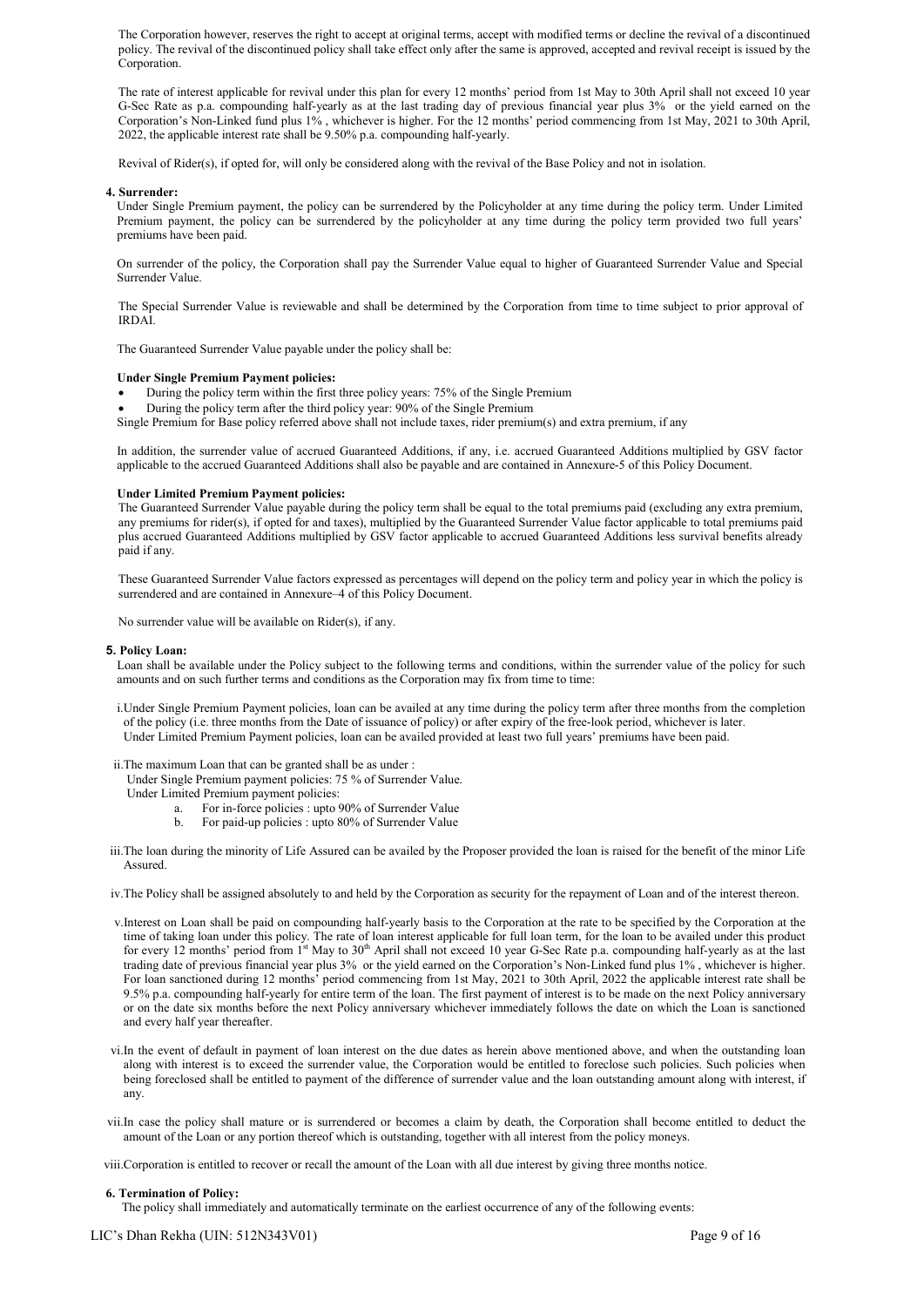The Corporation however, reserves the right to accept at original terms, accept with modified terms or decline the revival of a discontinued policy. The revival of the discontinued policy shall take effect only after the same is approved, accepted and revival receipt is issued by the Corporation.

The rate of interest applicable for revival under this plan for every 12 months' period from 1st May to 30th April shall not exceed 10 year G-Sec Rate as p.a. compounding half-yearly as at the last trading day of previous financial year plus 3% or the yield earned on the Corporation's Non-Linked fund plus 1% , whichever is higher. For the 12 months' period commencing from 1st May, 2021 to 30th April, 2022, the applicable interest rate shall be 9.50% p.a. compounding half-yearly.

Revival of Rider(s), if opted for, will only be considered along with the revival of the Base Policy and not in isolation.

#### 4. Surrender:

Under Single Premium payment, the policy can be surrendered by the Policyholder at any time during the policy term. Under Limited Premium payment, the policy can be surrendered by the policyholder at any time during the policy term provided two full years' premiums have been paid.

On surrender of the policy, the Corporation shall pay the Surrender Value equal to higher of Guaranteed Surrender Value and Special Surrender Value.

The Special Surrender Value is reviewable and shall be determined by the Corporation from time to time subject to prior approval of IRDAI.

The Guaranteed Surrender Value payable under the policy shall be:

#### Under Single Premium Payment policies:

During the policy term within the first three policy years: 75% of the Single Premium

During the policy term after the third policy year: 90% of the Single Premium

Single Premium for Base policy referred above shall not include taxes, rider premium(s) and extra premium, if any

In addition, the surrender value of accrued Guaranteed Additions, if any, i.e. accrued Guaranteed Additions multiplied by GSV factor applicable to the accrued Guaranteed Additions shall also be payable and are contained in Annexure-5 of this Policy Document.

#### Under Limited Premium Payment policies:

The Guaranteed Surrender Value payable during the policy term shall be equal to the total premiums paid (excluding any extra premium, any premiums for rider(s), if opted for and taxes), multiplied by the Guaranteed Surrender Value factor applicable to total premiums paid plus accrued Guaranteed Additions multiplied by GSV factor applicable to accrued Guaranteed Additions less survival benefits already paid if any.

These Guaranteed Surrender Value factors expressed as percentages will depend on the policy term and policy year in which the policy is surrendered and are contained in Annexure–4 of this Policy Document.

No surrender value will be available on Rider(s), if any.

#### 5. Policy Loan:

Loan shall be available under the Policy subject to the following terms and conditions, within the surrender value of the policy for such amounts and on such further terms and conditions as the Corporation may fix from time to time:

i.Under Single Premium Payment policies, loan can be availed at any time during the policy term after three months from the completion of the policy (i.e. three months from the Date of issuance of policy) or after expiry of the free-look period, whichever is later. Under Limited Premium Payment policies, loan can be availed provided at least two full years' premiums have been paid.

ii.The maximum Loan that can be granted shall be as under :

- Under Single Premium payment policies: 75 % of Surrender Value.
- Under Limited Premium payment policies:
	- a. For in-force policies : upto 90% of Surrender Value
	- b. For paid-up policies : upto 80% of Surrender Value
- iii.The loan during the minority of Life Assured can be availed by the Proposer provided the loan is raised for the benefit of the minor Life Assured.
- iv.The Policy shall be assigned absolutely to and held by the Corporation as security for the repayment of Loan and of the interest thereon.
- v.Interest on Loan shall be paid on compounding half-yearly basis to the Corporation at the rate to be specified by the Corporation at the time of taking loan under this policy. The rate of loan interest applicable for full loan term, for the loan to be availed under this product for every 12 months' period from 1<sup>st</sup> May to 30<sup>th</sup> April shall not exceed 10 year G-Sec Rate p.a. compounding half-yearly as at the last trading date of previous financial year plus 3% or the yield earned on the Corporation's Non-Linked fund plus 1% , whichever is higher. For loan sanctioned during 12 months' period commencing from 1st May, 2021 to 30th April, 2022 the applicable interest rate shall be 9.5% p.a. compounding half-yearly for entire term of the loan. The first payment of interest is to be made on the next Policy anniversary or on the date six months before the next Policy anniversary whichever immediately follows the date on which the Loan is sanctioned and every half year thereafter.
- vi.In the event of default in payment of loan interest on the due dates as herein above mentioned above, and when the outstanding loan along with interest is to exceed the surrender value, the Corporation would be entitled to foreclose such policies. Such policies when being foreclosed shall be entitled to payment of the difference of surrender value and the loan outstanding amount along with interest, if any.
- vii.In case the policy shall mature or is surrendered or becomes a claim by death, the Corporation shall become entitled to deduct the amount of the Loan or any portion thereof which is outstanding, together with all interest from the policy moneys.

viii.Corporation is entitled to recover or recall the amount of the Loan with all due interest by giving three months notice.

#### 6. Termination of Policy:

The policy shall immediately and automatically terminate on the earliest occurrence of any of the following events: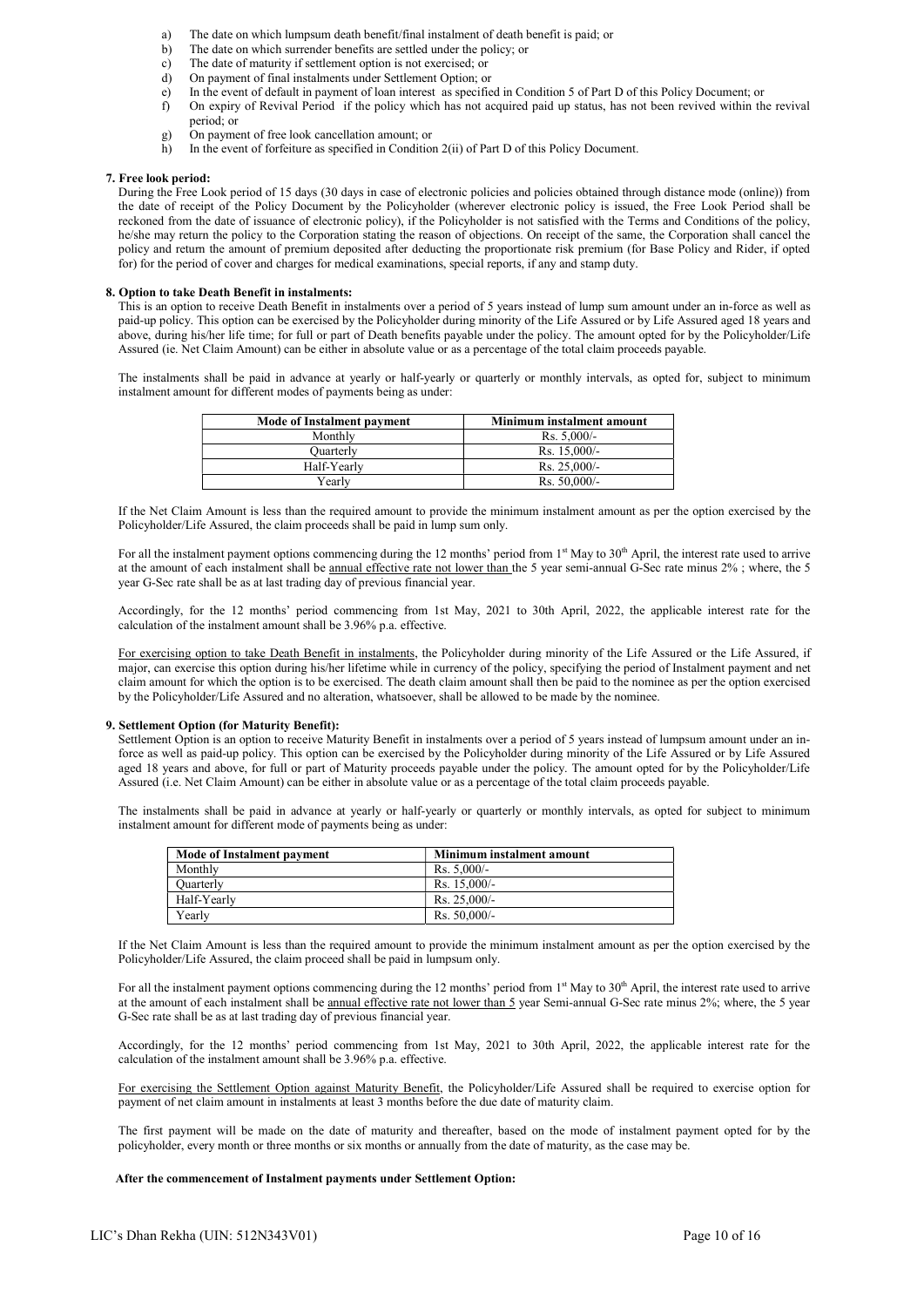- a) The date on which lumpsum death benefit/final instalment of death benefit is paid; or
- b) The date on which surrender benefits are settled under the policy; or
- c) The date of maturity if settlement option is not exercised; or d) On payment of final instalments under Settlement Option; or
- On payment of final instalments under Settlement Option; or
- e) In the event of default in payment of loan interest as specified in Condition 5 of Part D of this Policy Document; or
- f) On expiry of Revival Period if the policy which has not acquired paid up status, has not been revived within the revival period; or
- g) On payment of free look cancellation amount; or
- h) In the event of forfeiture as specified in Condition 2(ii) of Part D of this Policy Document.

#### 7. Free look period:

During the Free Look period of 15 days (30 days in case of electronic policies and policies obtained through distance mode (online)) from the date of receipt of the Policy Document by the Policyholder (wherever electronic policy is issued, the Free Look Period shall be reckoned from the date of issuance of electronic policy), if the Policyholder is not satisfied with the Terms and Conditions of the policy, he/she may return the policy to the Corporation stating the reason of objections. On receipt of the same, the Corporation shall cancel the policy and return the amount of premium deposited after deducting the proportionate risk premium (for Base Policy and Rider, if opted for) for the period of cover and charges for medical examinations, special reports, if any and stamp duty.

#### 8. Option to take Death Benefit in instalments:

This is an option to receive Death Benefit in instalments over a period of 5 years instead of lump sum amount under an in-force as well as paid-up policy. This option can be exercised by the Policyholder during minority of the Life Assured or by Life Assured aged 18 years and above, during his/her life time; for full or part of Death benefits payable under the policy. The amount opted for by the Policyholder/Life Assured (ie. Net Claim Amount) can be either in absolute value or as a percentage of the total claim proceeds payable.

The instalments shall be paid in advance at yearly or half-yearly or quarterly or monthly intervals, as opted for, subject to minimum instalment amount for different modes of payments being as under:

| Mode of Instalment payment | Minimum instalment amount |
|----------------------------|---------------------------|
| Monthly                    | $Rs. 5,000/-$             |
| Ouarterly                  | Rs. $15.000/-$            |
| Half-Yearly                | $Rs. 25,000/$ -           |
| Yearlv                     | Rs. $50,000/-$            |

If the Net Claim Amount is less than the required amount to provide the minimum instalment amount as per the option exercised by the Policyholder/Life Assured, the claim proceeds shall be paid in lump sum only.

For all the instalment payment options commencing during the 12 months' period from  $1<sup>st</sup>$  May to  $30<sup>th</sup>$  April, the interest rate used to arrive at the amount of each instalment shall be annual effective rate not lower than the 5 year semi-annual G-Sec rate minus 2% ; where, the 5 year G-Sec rate shall be as at last trading day of previous financial year.

Accordingly, for the 12 months' period commencing from 1st May, 2021 to 30th April, 2022, the applicable interest rate for the calculation of the instalment amount shall be 3.96% p.a. effective.

For exercising option to take Death Benefit in instalments, the Policyholder during minority of the Life Assured or the Life Assured, if major, can exercise this option during his/her lifetime while in currency of the policy, specifying the period of Instalment payment and net claim amount for which the option is to be exercised. The death claim amount shall then be paid to the nominee as per the option exercised by the Policyholder/Life Assured and no alteration, whatsoever, shall be allowed to be made by the nominee.

#### 9. Settlement Option (for Maturity Benefit):

Settlement Option is an option to receive Maturity Benefit in instalments over a period of 5 years instead of lumpsum amount under an inforce as well as paid-up policy. This option can be exercised by the Policyholder during minority of the Life Assured or by Life Assured aged 18 years and above, for full or part of Maturity proceeds payable under the policy. The amount opted for by the Policyholder/Life Assured (i.e. Net Claim Amount) can be either in absolute value or as a percentage of the total claim proceeds payable.

The instalments shall be paid in advance at yearly or half-yearly or quarterly or monthly intervals, as opted for subject to minimum instalment amount for different mode of payments being as under:

| Mode of Instalment payment | Minimum instalment amount |
|----------------------------|---------------------------|
| Monthly                    | $Rs. 5,000/-$             |
| <b>Ouarterly</b>           | Rs. $15.000/-$            |
| Half-Yearly                | $Rs. 25,000/-$            |
| Yearly                     | $Rs. 50,000/$ -           |

If the Net Claim Amount is less than the required amount to provide the minimum instalment amount as per the option exercised by the Policyholder/Life Assured, the claim proceed shall be paid in lumpsum only.

For all the instalment payment options commencing during the 12 months' period from 1<sup>st</sup> May to 30<sup>th</sup> April, the interest rate used to arrive at the amount of each instalment shall be annual effective rate not lower than 5 year Semi-annual G-Sec rate minus 2%; where, the 5 year G-Sec rate shall be as at last trading day of previous financial year.

Accordingly, for the 12 months' period commencing from 1st May, 2021 to 30th April, 2022, the applicable interest rate for the calculation of the instalment amount shall be 3.96% p.a. effective.

For exercising the Settlement Option against Maturity Benefit, the Policyholder/Life Assured shall be required to exercise option for payment of net claim amount in instalments at least 3 months before the due date of maturity claim.

The first payment will be made on the date of maturity and thereafter, based on the mode of instalment payment opted for by the policyholder, every month or three months or six months or annually from the date of maturity, as the case may be.

## After the commencement of Instalment payments under Settlement Option: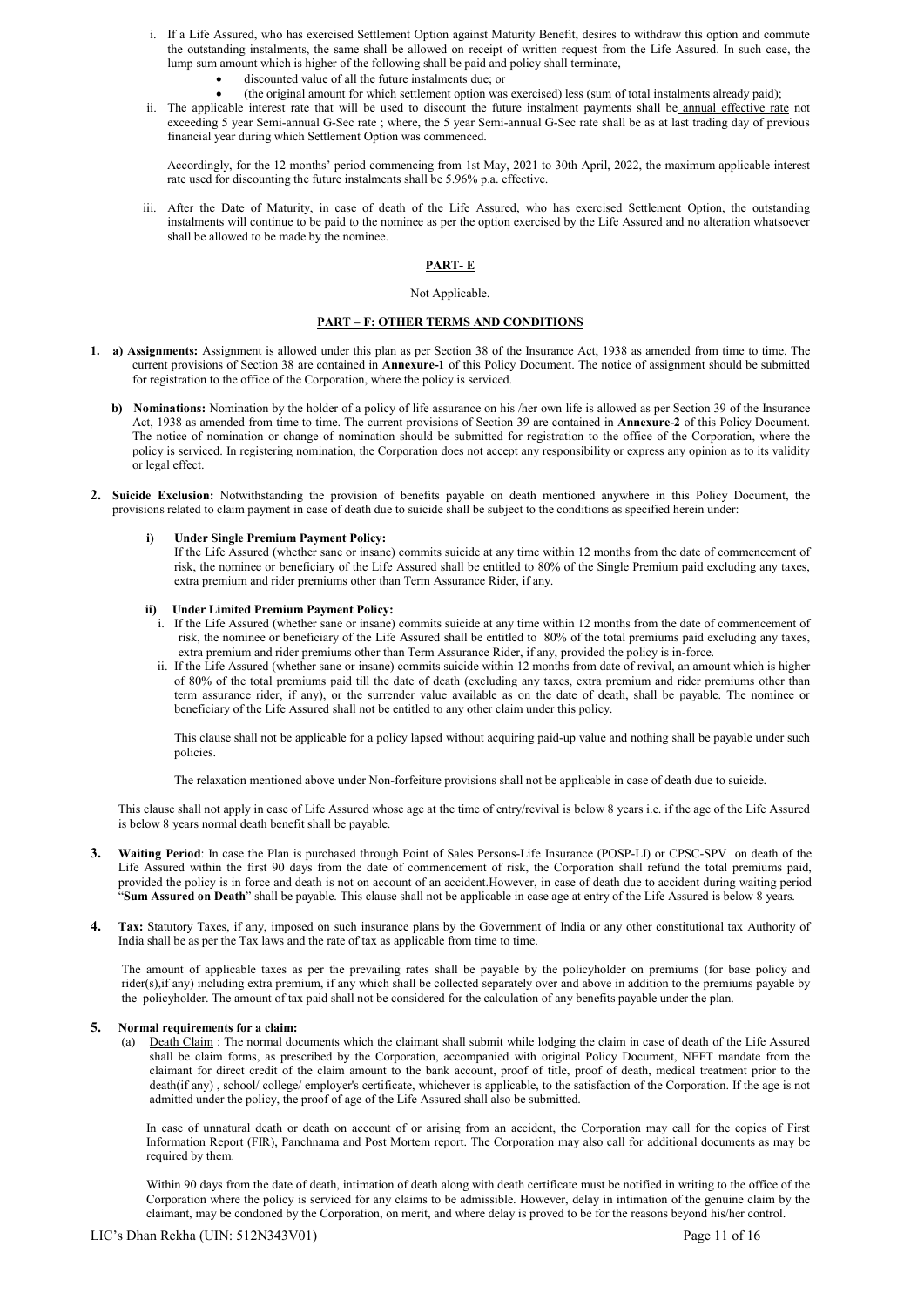- i. If a Life Assured, who has exercised Settlement Option against Maturity Benefit, desires to withdraw this option and commute the outstanding instalments, the same shall be allowed on receipt of written request from the Life Assured. In such case, the lump sum amount which is higher of the following shall be paid and policy shall terminate,
	- discounted value of all the future instalments due; or
	- (the original amount for which settlement option was exercised) less (sum of total instalments already paid);
- ii. The applicable interest rate that will be used to discount the future instalment payments shall be annual effective rate not exceeding 5 year Semi-annual G-Sec rate ; where, the 5 year Semi-annual G-Sec rate shall be as at last trading day of previous financial year during which Settlement Option was commenced.

Accordingly, for the 12 months' period commencing from 1st May, 2021 to 30th April, 2022, the maximum applicable interest rate used for discounting the future instalments shall be 5.96% p.a. effective.

iii. After the Date of Maturity, in case of death of the Life Assured, who has exercised Settlement Option, the outstanding instalments will continue to be paid to the nominee as per the option exercised by the Life Assured and no alteration whatsoever shall be allowed to be made by the nominee.

# PART- E

# Not Applicable.

# PART – F: OTHER TERMS AND CONDITIONS

- 1. a) Assignments: Assignment is allowed under this plan as per Section 38 of the Insurance Act, 1938 as amended from time to time. The current provisions of Section 38 are contained in Annexure-1 of this Policy Document. The notice of assignment should be submitted for registration to the office of the Corporation, where the policy is serviced.
	- b) Nominations: Nomination by the holder of a policy of life assurance on his /her own life is allowed as per Section 39 of the Insurance Act, 1938 as amended from time to time. The current provisions of Section 39 are contained in Annexure-2 of this Policy Document. The notice of nomination or change of nomination should be submitted for registration to the office of the Corporation, where the policy is serviced. In registering nomination, the Corporation does not accept any responsibility or express any opinion as to its validity or legal effect.
- 2. Suicide Exclusion: Notwithstanding the provision of benefits payable on death mentioned anywhere in this Policy Document, the provisions related to claim payment in case of death due to suicide shall be subject to the conditions as specified herein under:

#### i) Under Single Premium Payment Policy:

If the Life Assured (whether sane or insane) commits suicide at any time within 12 months from the date of commencement of risk, the nominee or beneficiary of the Life Assured shall be entitled to 80% of the Single Premium paid excluding any taxes, extra premium and rider premiums other than Term Assurance Rider, if any.

#### ii) Under Limited Premium Payment Policy:

- i. If the Life Assured (whether sane or insane) commits suicide at any time within 12 months from the date of commencement of risk, the nominee or beneficiary of the Life Assured shall be entitled to 80% of the total premiums paid excluding any taxes, extra premium and rider premiums other than Term Assurance Rider, if any, provided the policy is in-force.
- ii. If the Life Assured (whether sane or insane) commits suicide within 12 months from date of revival, an amount which is higher of 80% of the total premiums paid till the date of death (excluding any taxes, extra premium and rider premiums other than term assurance rider, if any), or the surrender value available as on the date of death, shall be payable. The nominee or beneficiary of the Life Assured shall not be entitled to any other claim under this policy.

This clause shall not be applicable for a policy lapsed without acquiring paid-up value and nothing shall be payable under such policies.

The relaxation mentioned above under Non-forfeiture provisions shall not be applicable in case of death due to suicide.

This clause shall not apply in case of Life Assured whose age at the time of entry/revival is below 8 years i.e. if the age of the Life Assured is below 8 years normal death benefit shall be payable.

- 3. Waiting Period: In case the Plan is purchased through Point of Sales Persons-Life Insurance (POSP-LI) or CPSC-SPV on death of the Life Assured within the first 90 days from the date of commencement of risk, the Corporation shall refund the total premiums paid, provided the policy is in force and death is not on account of an accident.However, in case of death due to accident during waiting period "Sum Assured on Death" shall be payable. This clause shall not be applicable in case age at entry of the Life Assured is below 8 years.
- 4. Tax: Statutory Taxes, if any, imposed on such insurance plans by the Government of India or any other constitutional tax Authority of India shall be as per the Tax laws and the rate of tax as applicable from time to time.

The amount of applicable taxes as per the prevailing rates shall be payable by the policyholder on premiums (for base policy and rider(s),if any) including extra premium, if any which shall be collected separately over and above in addition to the premiums payable by the policyholder. The amount of tax paid shall not be considered for the calculation of any benefits payable under the plan.

# 5. Normal requirements for a claim:

(a) Death Claim : The normal documents which the claimant shall submit while lodging the claim in case of death of the Life Assured shall be claim forms, as prescribed by the Corporation, accompanied with original Policy Document, NEFT mandate from the claimant for direct credit of the claim amount to the bank account, proof of title, proof of death, medical treatment prior to the death(if any), school/ college/ employer's certificate, whichever is applicable, to the satisfaction of the Corporation. If the age is not admitted under the policy, the proof of age of the Life Assured shall also be submitted.

In case of unnatural death or death on account of or arising from an accident, the Corporation may call for the copies of First Information Report (FIR), Panchnama and Post Mortem report. The Corporation may also call for additional documents as may be required by them.

Within 90 days from the date of death, intimation of death along with death certificate must be notified in writing to the office of the Corporation where the policy is serviced for any claims to be admissible. However, delay in intimation of the genuine claim by the claimant, may be condoned by the Corporation, on merit, and where delay is proved to be for the reasons beyond his/her control.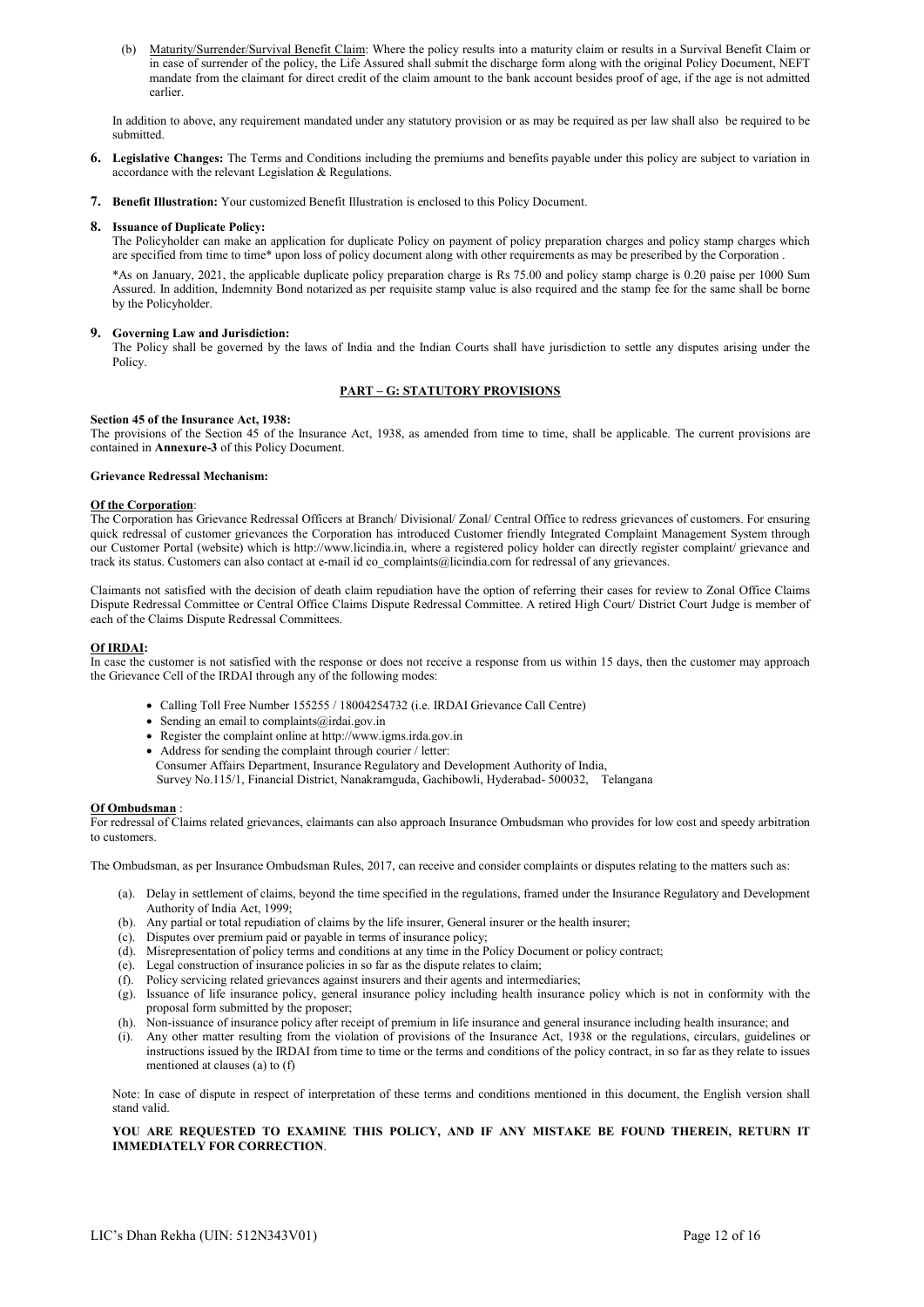(b) Maturity/Surrender/Survival Benefit Claim: Where the policy results into a maturity claim or results in a Survival Benefit Claim or in case of surrender of the policy, the Life Assured shall submit the discharge form along with the original Policy Document, NEFT mandate from the claimant for direct credit of the claim amount to the bank account besides proof of age, if the age is not admitted earlier.

 In addition to above, any requirement mandated under any statutory provision or as may be required as per law shall also be required to be submitted.

- 6. Legislative Changes: The Terms and Conditions including the premiums and benefits payable under this policy are subject to variation in accordance with the relevant Legislation & Regulations.
- 7. Benefit Illustration: Your customized Benefit Illustration is enclosed to this Policy Document.

## 8. Issuance of Duplicate Policy:

The Policyholder can make an application for duplicate Policy on payment of policy preparation charges and policy stamp charges which are specified from time to time\* upon loss of policy document along with other requirements as may be prescribed by the Corporation .

\*As on January, 2021, the applicable duplicate policy preparation charge is Rs 75.00 and policy stamp charge is 0.20 paise per 1000 Sum Assured. In addition, Indemnity Bond notarized as per requisite stamp value is also required and the stamp fee for the same shall be borne by the Policyholder.

# 9. Governing Law and Jurisdiction:

The Policy shall be governed by the laws of India and the Indian Courts shall have jurisdiction to settle any disputes arising under the Policy.

#### PART – G: STATUTORY PROVISIONS

#### Section 45 of the Insurance Act, 1938:

The provisions of the Section 45 of the Insurance Act, 1938, as amended from time to time, shall be applicable. The current provisions are contained in Annexure-3 of this Policy Document.

#### Grievance Redressal Mechanism:

#### Of the Corporation:

The Corporation has Grievance Redressal Officers at Branch/ Divisional/ Zonal/ Central Office to redress grievances of customers. For ensuring quick redressal of customer grievances the Corporation has introduced Customer friendly Integrated Complaint Management System through our Customer Portal (website) which is http://www.licindia.in, where a registered policy holder can directly register complaint/ grievance and track its status. Customers can also contact at e-mail id co complaints@licindia.com for redressal of any grievances.

Claimants not satisfied with the decision of death claim repudiation have the option of referring their cases for review to Zonal Office Claims Dispute Redressal Committee or Central Office Claims Dispute Redressal Committee. A retired High Court/ District Court Judge is member of each of the Claims Dispute Redressal Committees.

#### Of IRDAI:

In case the customer is not satisfied with the response or does not receive a response from us within 15 days, then the customer may approach the Grievance Cell of the IRDAI through any of the following modes:

- Calling Toll Free Number 155255 / 18004254732 (i.e. IRDAI Grievance Call Centre)
- Sending an email to complaints@irdai.gov.in
- Register the complaint online at http://www.igms.irda.gov.in
- Address for sending the complaint through courier / letter: Consumer Affairs Department, Insurance Regulatory and Development Authority of India, Survey No.115/1, Financial District, Nanakramguda, Gachibowli, Hyderabad- 500032, Telangana

#### Of Ombudsman :

For redressal of Claims related grievances, claimants can also approach Insurance Ombudsman who provides for low cost and speedy arbitration to customers.

The Ombudsman, as per Insurance Ombudsman Rules, 2017, can receive and consider complaints or disputes relating to the matters such as:

- (a). Delay in settlement of claims, beyond the time specified in the regulations, framed under the Insurance Regulatory and Development Authority of India Act, 1999;
- (b). Any partial or total repudiation of claims by the life insurer, General insurer or the health insurer;
- (c). Disputes over premium paid or payable in terms of insurance policy;
- (d). Misrepresentation of policy terms and conditions at any time in the Policy Document or policy contract;
- (e). Legal construction of insurance policies in so far as the dispute relates to claim;
- (f). Policy servicing related grievances against insurers and their agents and intermediaries;
- (g). Issuance of life insurance policy, general insurance policy including health insurance policy which is not in conformity with the proposal form submitted by the proposer;
- (h). Non-issuance of insurance policy after receipt of premium in life insurance and general insurance including health insurance; and
- (i). Any other matter resulting from the violation of provisions of the Insurance Act, 1938 or the regulations, circulars, guidelines or instructions issued by the IRDAI from time to time or the terms and conditions of the policy contract, in so far as they relate to issues mentioned at clauses (a) to (f)

Note: In case of dispute in respect of interpretation of these terms and conditions mentioned in this document, the English version shall stand valid.

# YOU ARE REQUESTED TO EXAMINE THIS POLICY, AND IF ANY MISTAKE BE FOUND THEREIN, RETURN IT IMMEDIATELY FOR CORRECTION.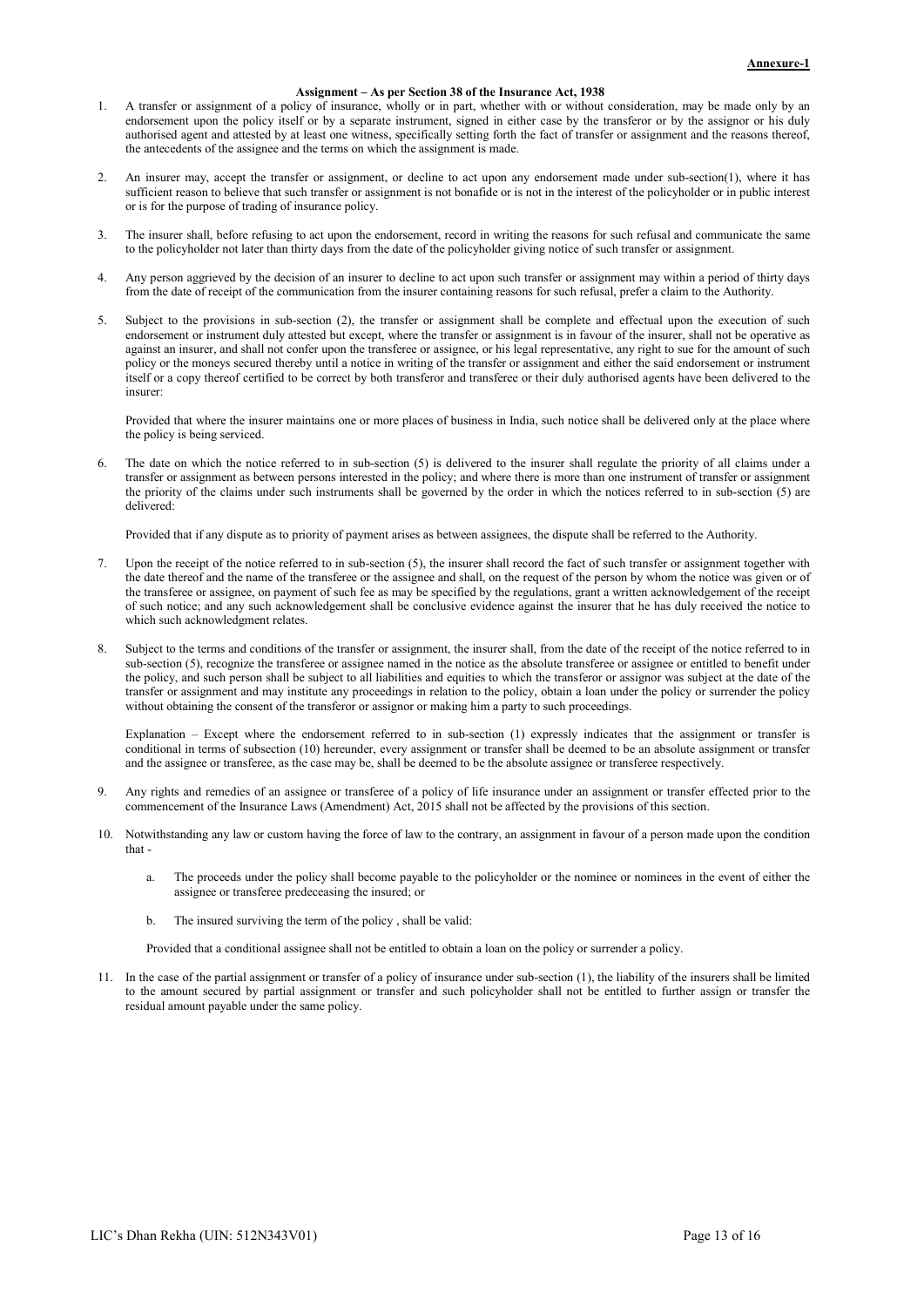# Assignment – As per Section 38 of the Insurance Act, 1938

- 1. A transfer or assignment of a policy of insurance, wholly or in part, whether with or without consideration, may be made only by an endorsement upon the policy itself or by a separate instrument, signed in either case by the transferor or by the assignor or his duly authorised agent and attested by at least one witness, specifically setting forth the fact of transfer or assignment and the reasons thereof, the antecedents of the assignee and the terms on which the assignment is made.
- 2. An insurer may, accept the transfer or assignment, or decline to act upon any endorsement made under sub-section(1), where it has sufficient reason to believe that such transfer or assignment is not bonafide or is not in the interest of the policyholder or in public interest or is for the purpose of trading of insurance policy.
- The insurer shall, before refusing to act upon the endorsement, record in writing the reasons for such refusal and communicate the same to the policyholder not later than thirty days from the date of the policyholder giving notice of such transfer or assignment.
- 4. Any person aggrieved by the decision of an insurer to decline to act upon such transfer or assignment may within a period of thirty days from the date of receipt of the communication from the insurer containing reasons for such refusal, prefer a claim to the Authority.
- 5. Subject to the provisions in sub-section (2), the transfer or assignment shall be complete and effectual upon the execution of such endorsement or instrument duly attested but except, where the transfer or assignment is in favour of the insurer, shall not be operative as against an insurer, and shall not confer upon the transferee or assignee, or his legal representative, any right to sue for the amount of such policy or the moneys secured thereby until a notice in writing of the transfer or assignment and either the said endorsement or instrument itself or a copy thereof certified to be correct by both transferor and transferee or their duly authorised agents have been delivered to the insurer:

Provided that where the insurer maintains one or more places of business in India, such notice shall be delivered only at the place where the policy is being serviced.

The date on which the notice referred to in sub-section (5) is delivered to the insurer shall regulate the priority of all claims under a transfer or assignment as between persons interested in the policy; and where there is more than one instrument of transfer or assignment the priority of the claims under such instruments shall be governed by the order in which the notices referred to in sub-section (5) are delivered:

Provided that if any dispute as to priority of payment arises as between assignees, the dispute shall be referred to the Authority.

- 7. Upon the receipt of the notice referred to in sub-section (5), the insurer shall record the fact of such transfer or assignment together with the date thereof and the name of the transferee or the assignee and shall, on the request of the person by whom the notice was given or of the transferee or assignee, on payment of such fee as may be specified by the regulations, grant a written acknowledgement of the receipt of such notice; and any such acknowledgement shall be conclusive evidence against the insurer that he has duly received the notice to which such acknowledgment relates.
- Subject to the terms and conditions of the transfer or assignment, the insurer shall, from the date of the receipt of the notice referred to in sub-section (5), recognize the transferee or assignee named in the notice as the absolute transferee or assignee or entitled to benefit under the policy, and such person shall be subject to all liabilities and equities to which the transferor or assignor was subject at the date of the transfer or assignment and may institute any proceedings in relation to the policy, obtain a loan under the policy or surrender the policy without obtaining the consent of the transferor or assignor or making him a party to such proceedings.

Explanation – Except where the endorsement referred to in sub-section (1) expressly indicates that the assignment or transfer is conditional in terms of subsection (10) hereunder, every assignment or transfer shall be deemed to be an absolute assignment or transfer and the assignee or transferee, as the case may be, shall be deemed to be the absolute assignee or transferee respectively.

- Any rights and remedies of an assignee or transferee of a policy of life insurance under an assignment or transfer effected prior to the commencement of the Insurance Laws (Amendment) Act, 2015 shall not be affected by the provisions of this section.
- 10. Notwithstanding any law or custom having the force of law to the contrary, an assignment in favour of a person made upon the condition that
	- a. The proceeds under the policy shall become payable to the policyholder or the nominee or nominees in the event of either the assignee or transferee predeceasing the insured; or
	- b. The insured surviving the term of the policy , shall be valid:

Provided that a conditional assignee shall not be entitled to obtain a loan on the policy or surrender a policy.

11. In the case of the partial assignment or transfer of a policy of insurance under sub-section (1), the liability of the insurers shall be limited to the amount secured by partial assignment or transfer and such policyholder shall not be entitled to further assign or transfer the residual amount payable under the same policy.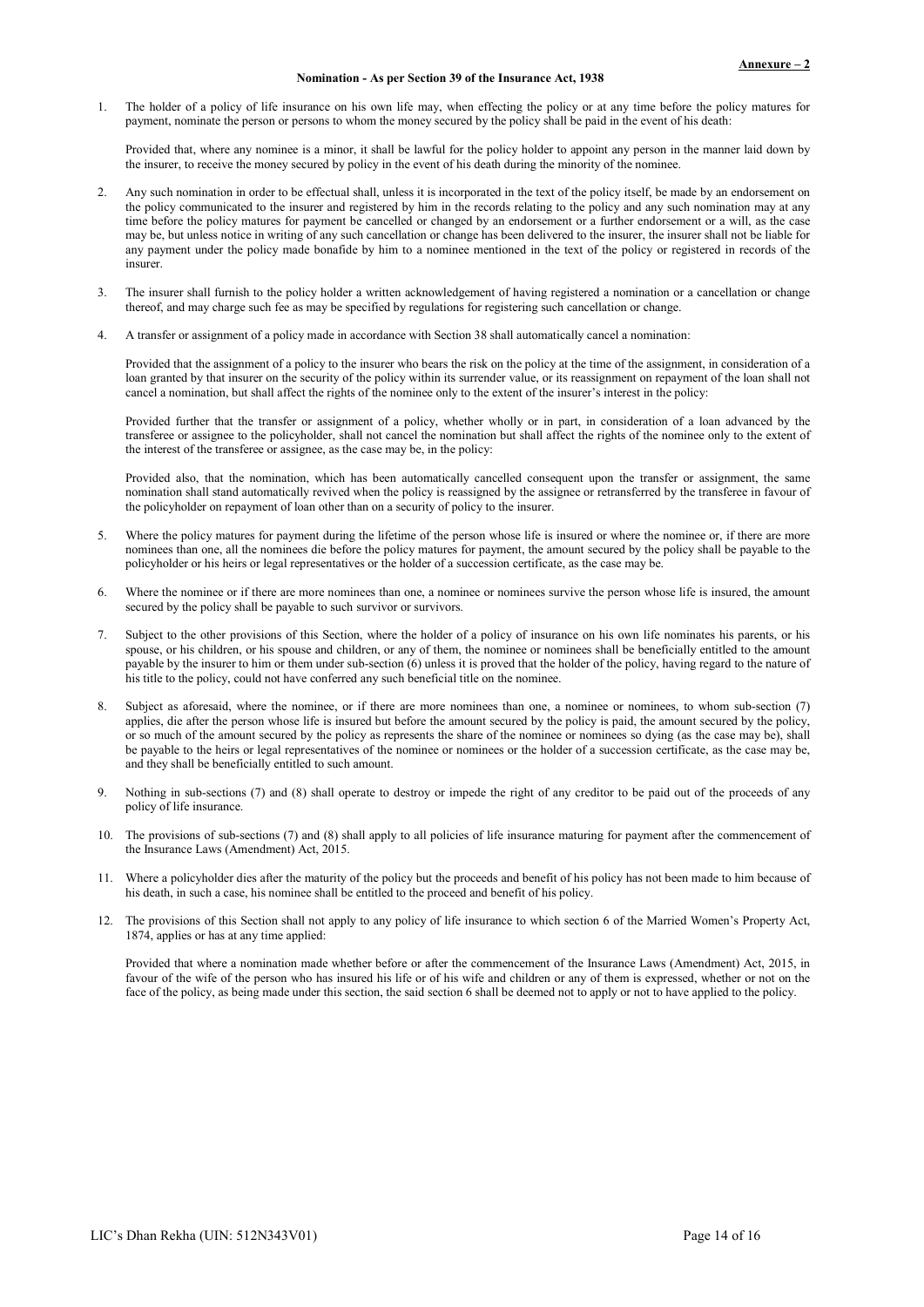#### Nomination - As per Section 39 of the Insurance Act, 1938

1. The holder of a policy of life insurance on his own life may, when effecting the policy or at any time before the policy matures for payment, nominate the person or persons to whom the money secured by the policy shall be paid in the event of his death:

Provided that, where any nominee is a minor, it shall be lawful for the policy holder to appoint any person in the manner laid down by the insurer, to receive the money secured by policy in the event of his death during the minority of the nominee.

- 2. Any such nomination in order to be effectual shall, unless it is incorporated in the text of the policy itself, be made by an endorsement on the policy communicated to the insurer and registered by him in the records relating to the policy and any such nomination may at any time before the policy matures for payment be cancelled or changed by an endorsement or a further endorsement or a will, as the case may be, but unless notice in writing of any such cancellation or change has been delivered to the insurer, the insurer shall not be liable for any payment under the policy made bonafide by him to a nominee mentioned in the text of the policy or registered in records of the insurer.
- 3. The insurer shall furnish to the policy holder a written acknowledgement of having registered a nomination or a cancellation or change thereof, and may charge such fee as may be specified by regulations for registering such cancellation or change.
- 4. A transfer or assignment of a policy made in accordance with Section 38 shall automatically cancel a nomination:

Provided that the assignment of a policy to the insurer who bears the risk on the policy at the time of the assignment, in consideration of a loan granted by that insurer on the security of the policy within its surrender value, or its reassignment on repayment of the loan shall not cancel a nomination, but shall affect the rights of the nominee only to the extent of the insurer's interest in the policy:

Provided further that the transfer or assignment of a policy, whether wholly or in part, in consideration of a loan advanced by the transferee or assignee to the policyholder, shall not cancel the nomination but shall affect the rights of the nominee only to the extent of the interest of the transferee or assignee, as the case may be, in the policy:

Provided also, that the nomination, which has been automatically cancelled consequent upon the transfer or assignment, the same nomination shall stand automatically revived when the policy is reassigned by the assignee or retransferred by the transferee in favour of the policyholder on repayment of loan other than on a security of policy to the insurer.

- Where the policy matures for payment during the lifetime of the person whose life is insured or where the nominee or, if there are more nominees than one, all the nominees die before the policy matures for payment, the amount secured by the policy shall be payable to the policyholder or his heirs or legal representatives or the holder of a succession certificate, as the case may be.
- 6. Where the nominee or if there are more nominees than one, a nominee or nominees survive the person whose life is insured, the amount secured by the policy shall be payable to such survivor or survivors.
- 7. Subject to the other provisions of this Section, where the holder of a policy of insurance on his own life nominates his parents, or his spouse, or his children, or his spouse and children, or any of them, the nominee or nominees shall be beneficially entitled to the amount payable by the insurer to him or them under sub-section (6) unless it is proved that the holder of the policy, having regard to the nature of his title to the policy, could not have conferred any such beneficial title on the nominee.
- 8. Subject as aforesaid, where the nominee, or if there are more nominees than one, a nominee or nominees, to whom sub-section (7) applies, die after the person whose life is insured but before the amount secured by the policy is paid, the amount secured by the policy, or so much of the amount secured by the policy as represents the share of the nominee or nominees so dying (as the case may be), shall be payable to the heirs or legal representatives of the nominee or nominees or the holder of a succession certificate, as the case may be, and they shall be beneficially entitled to such amount.
- 9. Nothing in sub-sections (7) and (8) shall operate to destroy or impede the right of any creditor to be paid out of the proceeds of any policy of life insurance.
- 10. The provisions of sub-sections (7) and (8) shall apply to all policies of life insurance maturing for payment after the commencement of the Insurance Laws (Amendment) Act, 2015.
- 11. Where a policyholder dies after the maturity of the policy but the proceeds and benefit of his policy has not been made to him because of his death, in such a case, his nominee shall be entitled to the proceed and benefit of his policy.
- 12. The provisions of this Section shall not apply to any policy of life insurance to which section 6 of the Married Women's Property Act, 1874, applies or has at any time applied:

Provided that where a nomination made whether before or after the commencement of the Insurance Laws (Amendment) Act, 2015, in favour of the wife of the person who has insured his life or of his wife and children or any of them is expressed, whether or not on the face of the policy, as being made under this section, the said section 6 shall be deemed not to apply or not to have applied to the policy.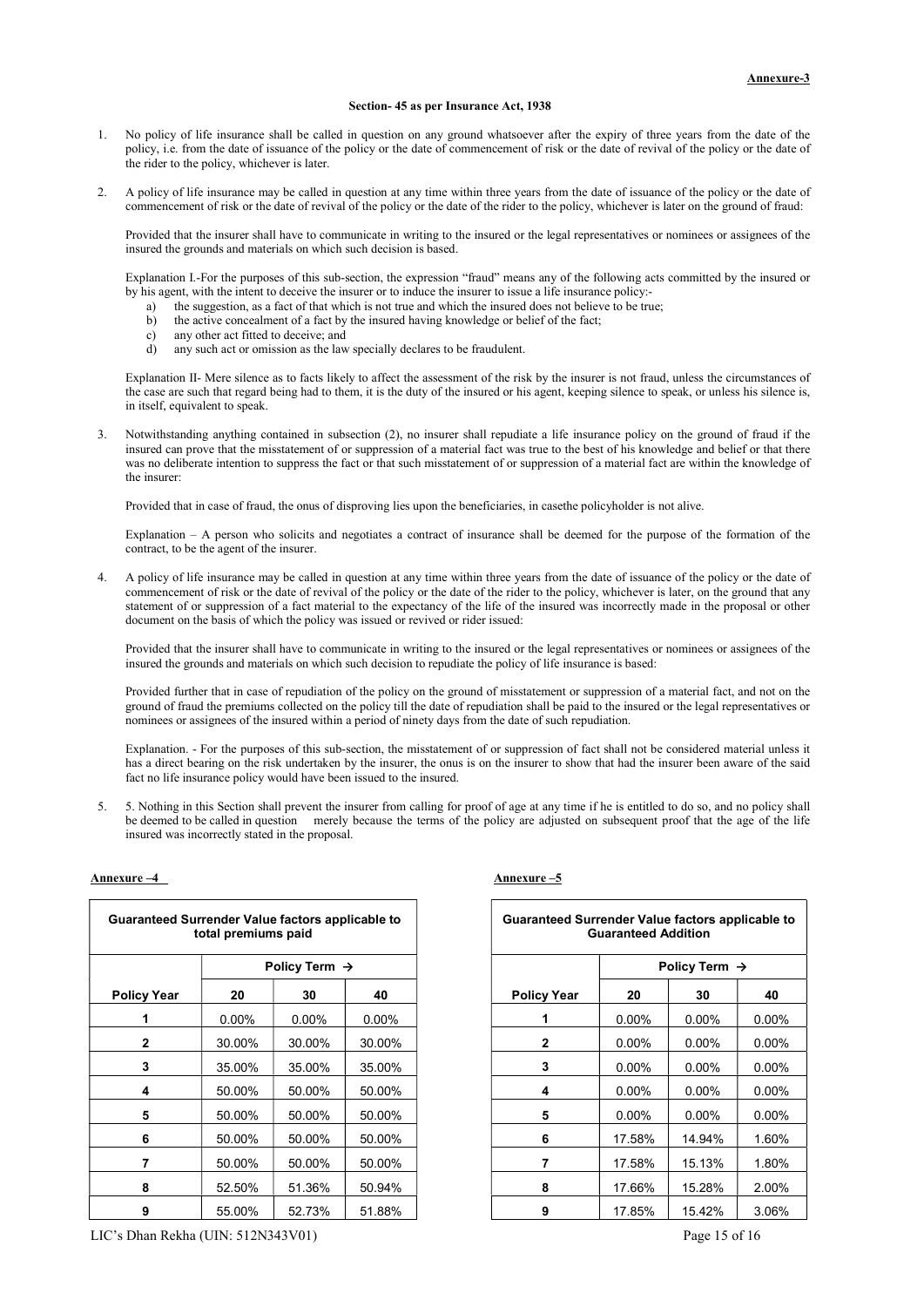#### Section- 45 as per Insurance Act, 1938

- 1. No policy of life insurance shall be called in question on any ground whatsoever after the expiry of three years from the date of the policy, i.e. from the date of issuance of the policy or the date of commencement of risk or the date of revival of the policy or the date of the rider to the policy, whichever is later.
- 2. A policy of life insurance may be called in question at any time within three years from the date of issuance of the policy or the date of commencement of risk or the date of revival of the policy or the date of the rider to the policy, whichever is later on the ground of fraud:

Provided that the insurer shall have to communicate in writing to the insured or the legal representatives or nominees or assignees of the insured the grounds and materials on which such decision is based.

Explanation I.-For the purposes of this sub-section, the expression "fraud" means any of the following acts committed by the insured or by his agent, with the intent to deceive the insurer or to induce the insurer to issue a life insurance policy:-

- a) the suggestion, as a fact of that which is not true and which the insured does not believe to be true;
- b) the active concealment of a fact by the insured having knowledge or belief of the fact;
- c) any other act fitted to deceive; and
- d) any such act or omission as the law specially declares to be fraudulent.

Explanation II- Mere silence as to facts likely to affect the assessment of the risk by the insurer is not fraud, unless the circumstances of the case are such that regard being had to them, it is the duty of the insured or his agent, keeping silence to speak, or unless his silence is, in itself, equivalent to speak.

3. Notwithstanding anything contained in subsection (2), no insurer shall repudiate a life insurance policy on the ground of fraud if the insured can prove that the misstatement of or suppression of a material fact was true to the best of his knowledge and belief or that there was no deliberate intention to suppress the fact or that such misstatement of or suppression of a material fact are within the knowledge of the insurer:

Provided that in case of fraud, the onus of disproving lies upon the beneficiaries, in casethe policyholder is not alive.

Explanation – A person who solicits and negotiates a contract of insurance shall be deemed for the purpose of the formation of the contract, to be the agent of the insurer.

4. A policy of life insurance may be called in question at any time within three years from the date of issuance of the policy or the date of commencement of risk or the date of revival of the policy or the date of the rider to the policy, whichever is later, on the ground that any statement of or suppression of a fact material to the expectancy of the life of the insured was incorrectly made in the proposal or other document on the basis of which the policy was issued or revived or rider issued:

Provided that the insurer shall have to communicate in writing to the insured or the legal representatives or nominees or assignees of the insured the grounds and materials on which such decision to repudiate the policy of life insurance is based:

Provided further that in case of repudiation of the policy on the ground of misstatement or suppression of a material fact, and not on the ground of fraud the premiums collected on the policy till the date of repudiation shall be paid to the insured or the legal representatives or nominees or assignees of the insured within a period of ninety days from the date of such repudiation.

Explanation. - For the purposes of this sub-section, the misstatement of or suppression of fact shall not be considered material unless it has a direct bearing on the risk undertaken by the insurer, the onus is on the insurer to show that had the insurer been aware of the said fact no life insurance policy would have been issued to the insured.

5. 5. Nothing in this Section shall prevent the insurer from calling for proof of age at any time if he is entitled to do so, and no policy shall be deemed to be called in question merely because the terms of the policy are adjusted on subsequent proof that the age of the life insured was incorrectly stated in the proposal.

#### Annexure –4 Annexure –5

| Guaranteed Surrender Value factors applicable to | total premiums paid |                           |          |
|--------------------------------------------------|---------------------|---------------------------|----------|
|                                                  |                     | Policy Term $\rightarrow$ |          |
| <b>Policy Year</b>                               | 20                  | 30                        | 40       |
|                                                  | $0.00\%$            | $0.00\%$                  | $0.00\%$ |
| 2                                                | 30.00%              | 30.00%                    | 30.00%   |
| 3                                                | 35.00%              | 35.00%                    | 35.00%   |
| 4                                                | 50.00%              | 50.00%                    | 50.00%   |
| 5                                                | 50.00%              | 50.00%                    | 50.00%   |
| 6                                                | 50.00%              | 50.00%                    | 50.00%   |
| 7                                                | 50.00%              | 50.00%                    | 50.00%   |
| 8                                                | 52.50%              | 51.36%                    | 50.94%   |
| 9                                                | 55 00%              | 52 73%                    | 51 88%   |

|        | inteed Surrender Value factors applicable to<br>total premiums paid |                           |          |
|--------|---------------------------------------------------------------------|---------------------------|----------|
|        |                                                                     | Policy Term $\rightarrow$ |          |
| v Year | 20                                                                  | 30                        | 40       |
| 1      | $0.00\%$                                                            | $0.00\%$                  | $0.00\%$ |
| 2      | 30.00%                                                              | 30.00%                    | 30.00%   |
| 3      | 35.00%                                                              | 35.00%                    | 35.00%   |
| 4      | 50.00%                                                              | 50.00%                    | 50.00%   |
| 5      | 50.00%                                                              | 50.00%                    | 50.00%   |
| 6      | 50.00%                                                              | 50.00%                    | 50.00%   |
| 7      | 50.00%                                                              | 50.00%                    | 50.00%   |
| 8      | 52.50%                                                              | 51.36%                    | 50.94%   |
| 9      | 55.00%                                                              | 52.73%                    | 51.88%   |

LIC's Dhan Rekha (UIN: 512N343V01) Page 15 of 16